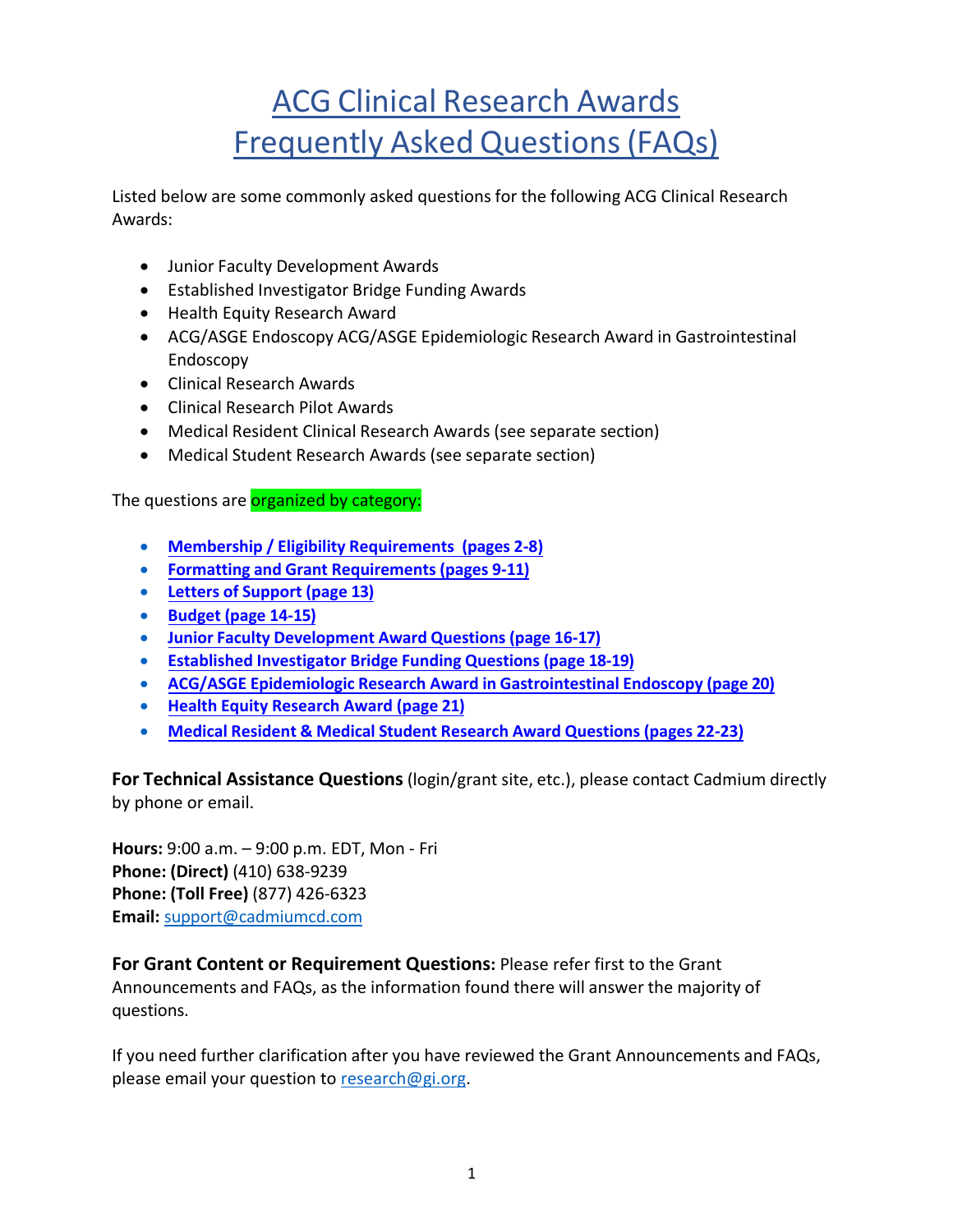# ACG Clinical Research Awards Frequently Asked Questions(FAQs)

Listed below are some commonly asked questions for the following ACG Clinical Research Awards:

- Junior Faculty Development Awards
- Established Investigator Bridge Funding Awards
- Health Equity Research Award
- ACG/ASGE Endoscopy ACG/ASGE Epidemiologic Research Award in Gastrointestinal Endoscopy
- Clinical Research Awards
- Clinical Research Pilot Awards
- Medical Resident Clinical Research Awards (see separate section)
- Medical Student Research Awards (see separate section)

The questions are **organized by category:** 

- **Membership / Eligibility [Requirements](#page-0-0) (pages 2-8)**
- **Formatting and Grant [Requirements](#page-8-0) (pages 9-11[\)](#page-8-0)**
- **Letters of [Support \(page](#page-12-0) 13[\)](#page-12-0)**
- **[Budget \(page](#page-13-0) 14-15[\)](#page-13-0)**
- **Junior Faculty [Development Award](#page-15-0) Questions (page 16-17[\)](#page-15-0)**
- **Established Investigator Bridge [Funding Questions](#page-17-0) (page 18-19[\)](#page-17-0)**
- **ACG/ASGE Epidemiologic Research Award in Gastrointestinal [Endoscopy \(page 20\)](#page-19-0)**
- **Health [Equity Research](#page-20-0) Award (page 21)**
- **Medical Resident & Medical Student Research Award [Questions](#page-21-0) (pages 22-23[\)](#page-21-0)**

**For Technical Assistance Questions**(login/grant site, etc.), please contact Cadmium directly by phone or email.

**Hours:** 9:00 a.m. – 9:00 p.m. EDT, Mon - Fri **Phone: (Direct)** (410) 638-9239 **Phone: (Toll Free)** (877) 426-6323 **Email:** [support@cadmiumcd.com](mailto:support@cadmiumcd.com)

**For Grant Content or Requirement Questions:** Please refer first to the Grant Announcements and FAQs, as the information found there will answer the majority of questions.

<span id="page-0-0"></span>If you need further clarification after you have reviewed the Grant Announcements and FAQs, please email your question to [research@gi.org.](mailto:research@gi.org)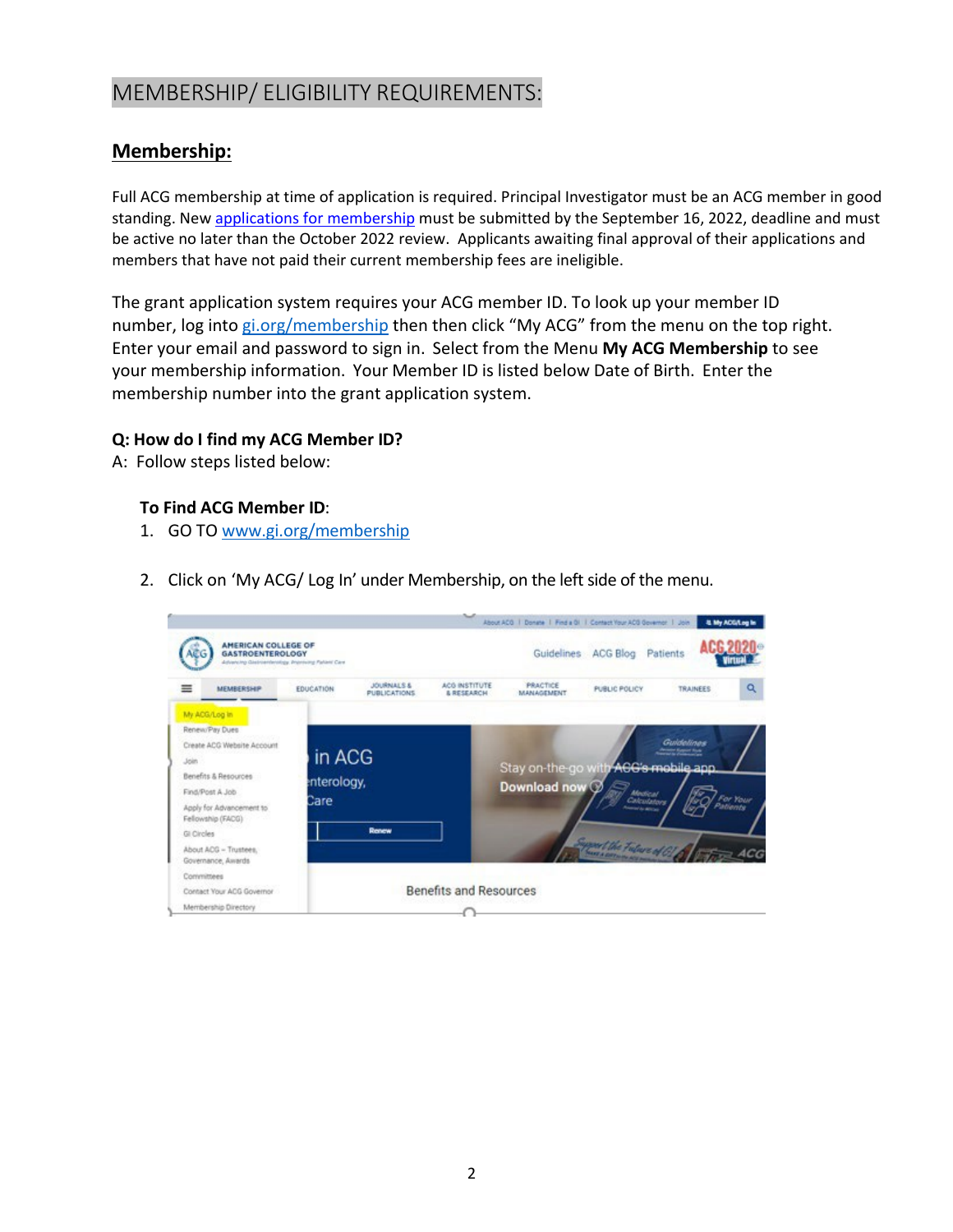# MEMBERSHIP/ ELIGIBILITY REQUIREMENTS:

### **Membership:**

Full ACG membership at time of application is required. Principal Investigator must be an ACG member in good standing. New [applications for membership](https://gi.org/membership/join-acg/) must be submitted by the September 16, 2022, deadline and must be active no later than the October 2022 review. Applicants awaiting final approval of their applications and members that have not paid their current membership fees are ineligible.

The grant application system requires your ACG member ID. To look up your member ID number, log into [gi.org/membership](http://gi.org/membership) then then click "My ACG" from the menu on the top right. Enter your email and password to sign in. Select from the Menu **My ACG Membership** to see your membership information. Your Member ID is listed below Date of Birth. Enter the membership number into the grant application system.

#### **Q: How do I find my ACG Member ID?**

A: Follow steps listed below:

#### **To Find ACG Member ID**:

- 1. GO TO [www.gi.org/membership](http://www.gi.org/)
- 2. Click on 'My ACG/ Log In' under Membership, on the left side of the menu.

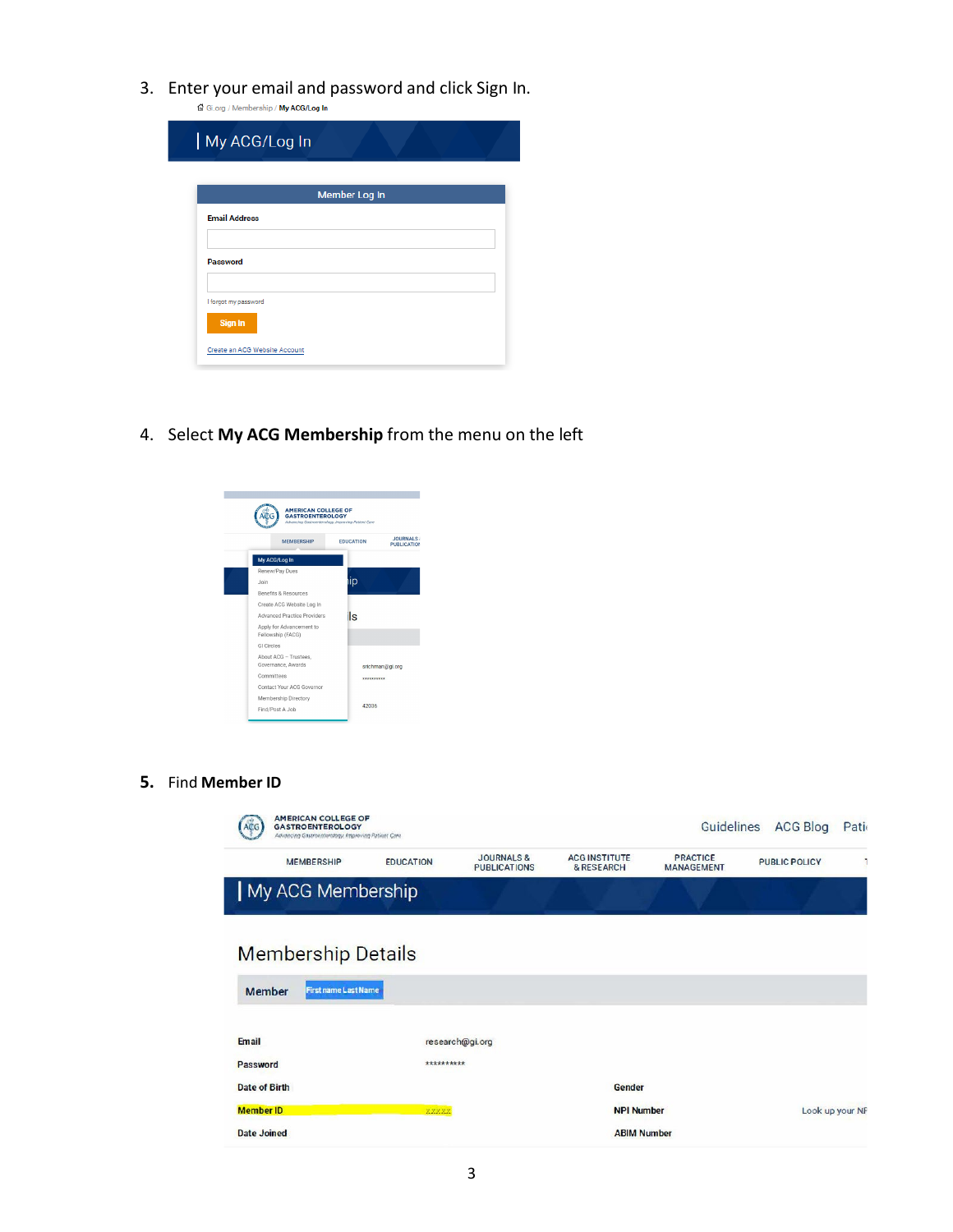3. Enter your email and password and click Sign In.

| <b>Member Log In</b> |  |  |
|----------------------|--|--|
|                      |  |  |
|                      |  |  |
|                      |  |  |
|                      |  |  |
|                      |  |  |

4. Select **My ACG Membership** from the menu on the left



**5.** Find **Member ID**

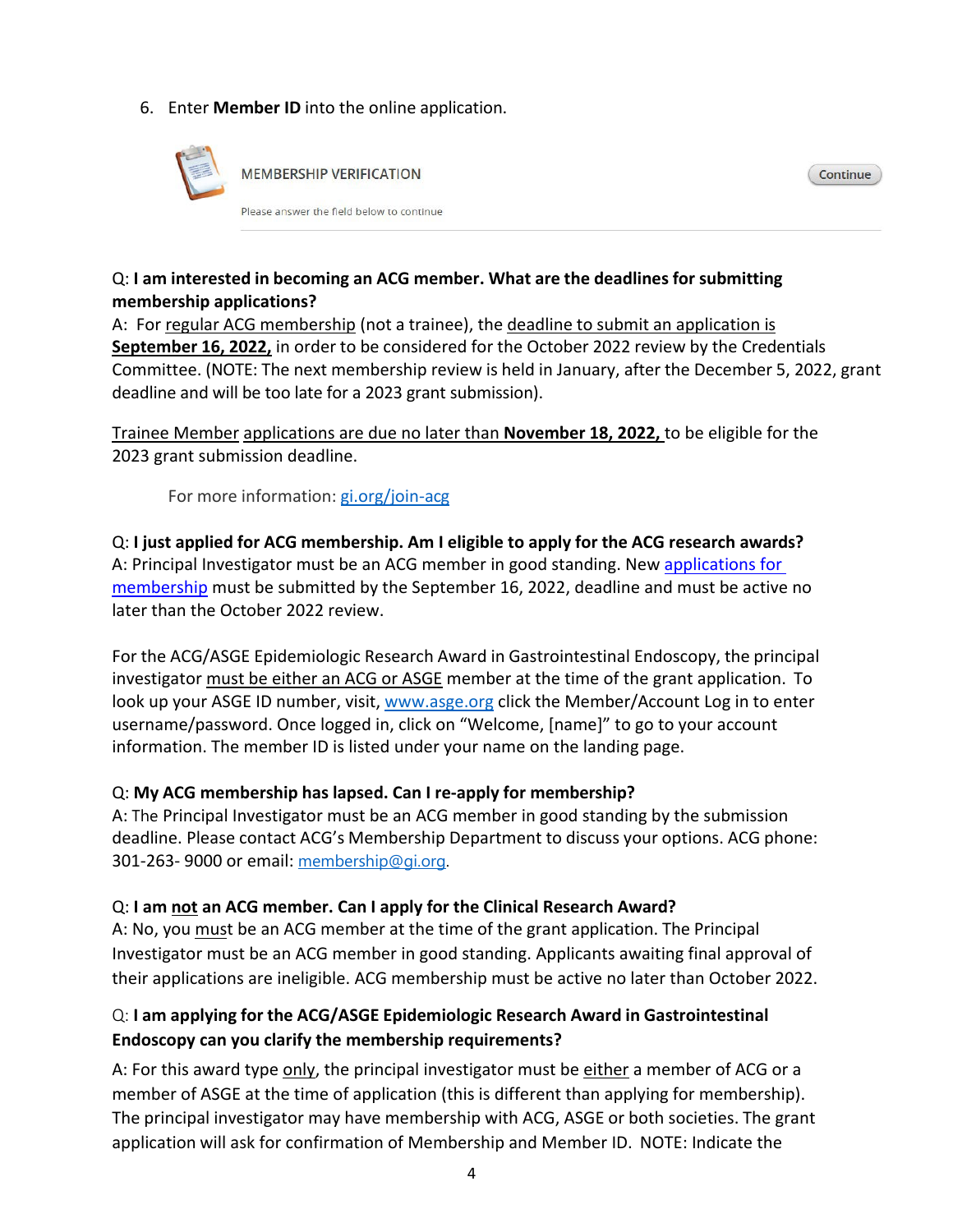#### 6. Enter **Member ID** into the online application.



#### Q: **I am interested in becoming an ACG member. What are the deadlines for submitting membership applications?**

A: For regular ACG membership (not a trainee), the deadline to submit an application is **September 16, 2022,** in order to be considered for the October 2022 review by the Credentials Committee. (NOTE: The next membership review is held in January, after the December 5, 2022, grant deadline and will be too late for a 2023 grant submission).

Continue

Trainee Member applications are due no later than **November 18, 2022,** to be eligible for the 2023 grant submission deadline.

For more information: [gi.org/join-acg](http://www.gi.org/membership/join-acg)

Q: **I just applied for ACG membership. Am I eligible to apply for the ACG research awards?** A: Principal Investigator must be an ACG member in good standing. New [applications for](https://gi.org/membership/join-acg/)  [membership](https://gi.org/membership/join-acg/) must be submitted by the September 16, 2022, deadline and must be active no later than the October 2022 review.

For the ACG/ASGE Epidemiologic Research Award in Gastrointestinal Endoscopy, the principal investigator must be either an ACG or ASGE member at the time of the grant application. To look up your ASGE ID number, visit, [www.asge.org c](http://www.asge.org/)lick the Member/Account Log in to enter username/password. Once logged in, click on "Welcome, [name]" to go to your account information. The member ID is listed under your name on the landing page.

#### Q: **My ACG membership has lapsed. Can I re-apply for membership?**

A: The Principal Investigator must be an ACG member in good standing by the submission deadline. Please contact ACG's Membership Department to discuss your options. ACG phone: 301-263- 9000 or email: [membership@gi.org.](mailto:membership@gi.org) 

#### Q: **I am not an ACG member. Can I apply for the Clinical Research Award?**

A: No, you must be an ACG member at the time of the grant application. The Principal Investigator must be an ACG member in good standing. Applicants awaiting final approval of their applications are ineligible. ACG membership must be active no later than October 2022.

#### Q: **I am applying for the ACG/ASGE Epidemiologic Research Award in Gastrointestinal Endoscopy can you clarify the membership requirements?**

A: For this award type only, the principal investigator must be either a member of ACG or a member of ASGE at the time of application (this is different than applying for membership). The principal investigator may have membership with ACG, ASGE or both societies. The grant application will ask for confirmation of Membership and Member ID. NOTE: Indicate the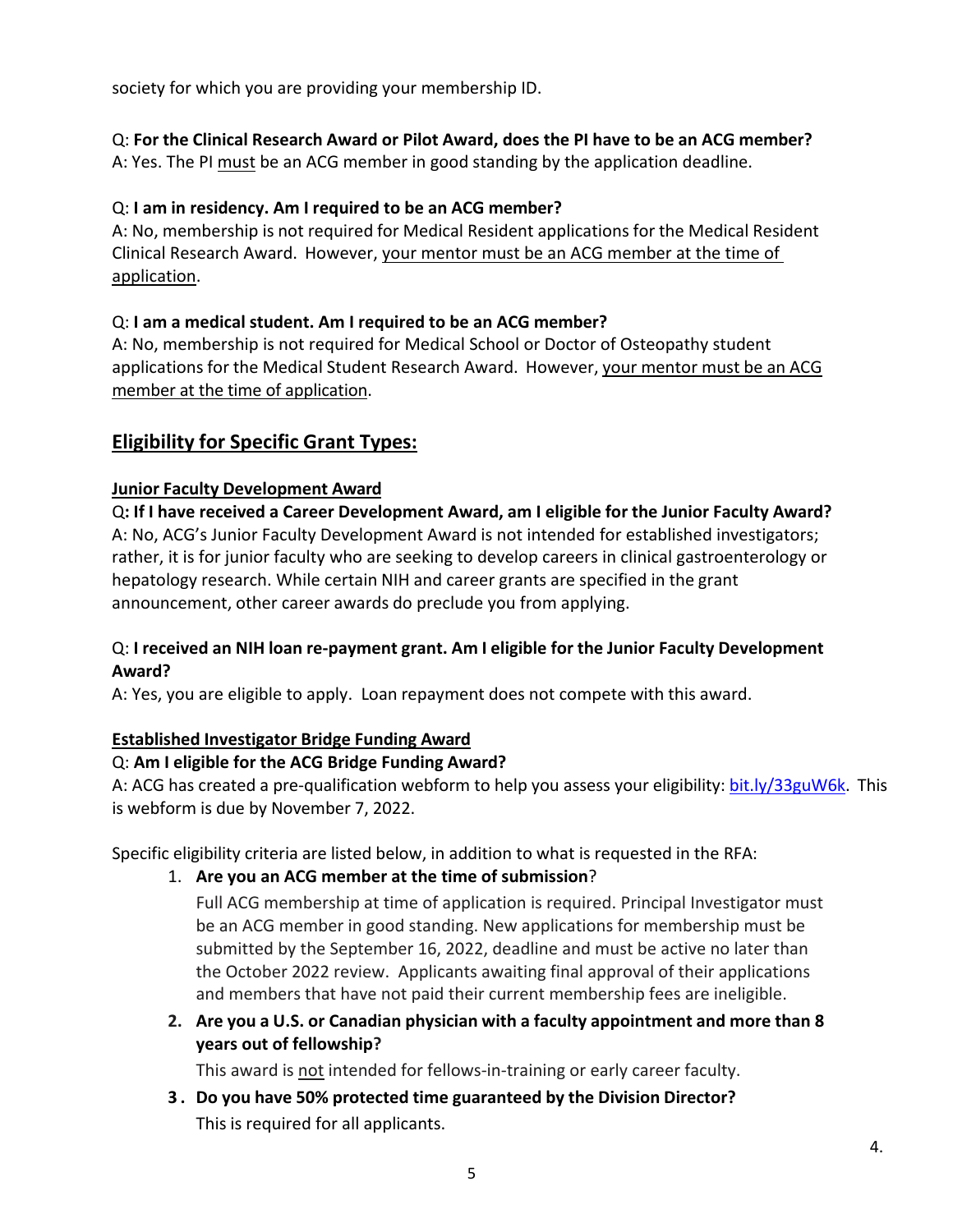society for which you are providing your membership ID.

### Q: **For the Clinical Research Award or Pilot Award, does the PI have to be an ACG member?**

A: Yes. The PI must be an ACG member in good standing by the application deadline.

#### Q: **I am in residency. Am I required to be an ACG member?**

A: No, membership is not required for Medical Resident applications for the Medical Resident Clinical Research Award. However, your mentor must be an ACG member at the time of application.

#### Q: **I am a medical student. Am I required to be an ACG member?**

A: No, membership is not required for Medical School or Doctor of Osteopathy student applications for the Medical Student Research Award. However, your mentor must be an ACG member at the time of application.

### **Eligibility for Specific Grant Types:**

#### **Junior Faculty Development Award**

Q**: If I have received a Career Development Award, am I eligible for the Junior Faculty Award?** A: No, ACG's Junior Faculty Development Award is not intended for established investigators; rather, it is for junior faculty who are seeking to develop careers in clinical gastroenterology or hepatology research. While certain NIH and career grants are specified in the grant announcement, other career awards do preclude you from applying.

#### Q: **I received an NIH loan re-payment grant. Am I eligible for the Junior Faculty Development Award?**

A: Yes, you are eligible to apply. Loan repayment does not compete with this award.

### **Established Investigator Bridge Funding Award**

#### Q: **Am I eligible for the ACG Bridge Funding Award?**

A: ACG has created a pre-qualification webform to help you assess your eligibility: [bit.ly/33guW6k.](https://bit.ly/33guW6k)This is webform is due by November 7, 2022.

Specific eligibility criteria are listed below, in addition to what is requested in the RFA:

1. **Are you an ACG member at the time of submission**?

Full ACG membership at time of application is required. Principal Investigator must be an ACG member in good standing. New applications for membership must be submitted by the September 16, 2022, deadline and must be active no later than the October 2022 review. Applicants awaiting final approval of their applications and members that have not paid their current membership fees are ineligible.

**2. Are you a U.S. or Canadian physician with a faculty appointment and more than 8 years out of fellowship?** 

This award is not intended for fellows-in-training or early career faculty.

**3 . Do you have 50% protected time guaranteed by the Division Director?**  This is required for all applicants.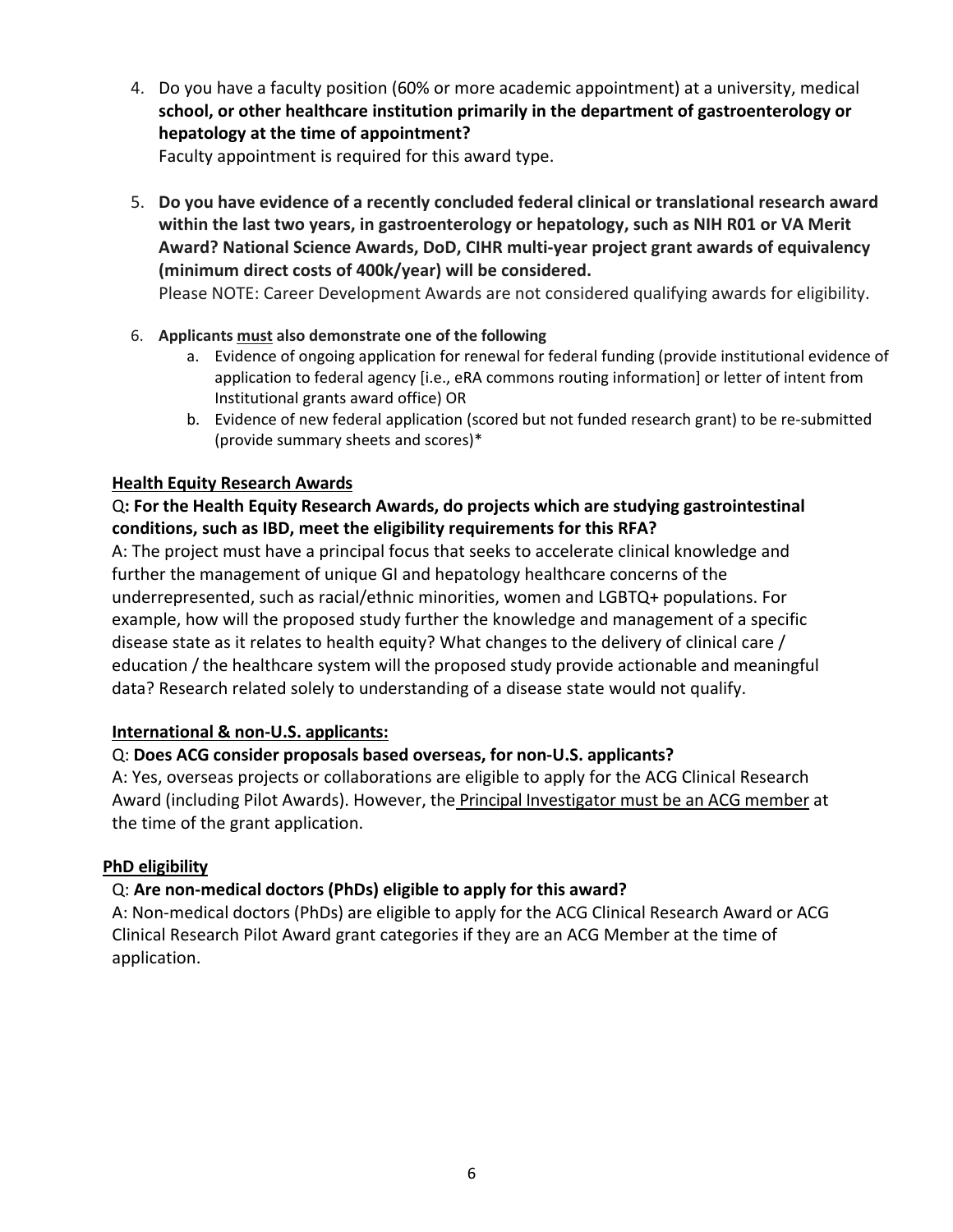4. Do you have a faculty position (60% or more academic appointment) at a university, medical **school, or other healthcare institution primarily in the department of gastroenterology or hepatology at the time of appointment?** 

Faculty appointment is required for this award type.

5. **Do you have evidence of a recently concluded federal clinical or translational research award within the last two years, in gastroenterology or hepatology, such as NIH R01 or VA Merit Award? National Science Awards, DoD, CIHR multi-year project grant awards of equivalency (minimum direct costs of 400k/year) will be considered.** 

Please NOTE: Career Development Awards are not considered qualifying awards for eligibility.

#### 6. **Applicants must also demonstrate one of the following**

- a. Evidence of ongoing application for renewal for federal funding (provide institutional evidence of application to federal agency [i.e., eRA commons routing information] or letter of intent from Institutional grants award office) OR
- b. Evidence of new federal application (scored but not funded research grant) to be re-submitted (provide summary sheets and scores)\*

#### **Health Equity Research Awards**

### Q**: For the Health Equity Research Awards, do projects which are studying gastrointestinal conditions, such as IBD, meet the eligibility requirements for this RFA?**

A: The project must have a principal focus that seeks to accelerate clinical knowledge and further the management of unique GI and hepatology healthcare concerns of the underrepresented, such as racial/ethnic minorities, women and LGBTQ+ populations. For example, how will the proposed study further the knowledge and management of a specific disease state as it relates to health equity? What changes to the delivery of clinical care / education / the healthcare system will the proposed study provide actionable and meaningful data? Research related solely to understanding of a disease state would not qualify.

#### **International & non-U.S. applicants:**

### Q: **Does ACG consider proposals based overseas, for non-U.S. applicants?**

A: Yes, overseas projects or collaborations are eligible to apply for the ACG Clinical Research Award (including Pilot Awards). However, the **Principal Investigator must be an ACG member** at the time of the grant application.

#### **PhD eligibility**

### Q: **Are non-medical doctors (PhDs) eligible to apply for this award?**

A: Non-medical doctors (PhDs) are eligible to apply for the ACG Clinical Research Award or ACG Clinical Research Pilot Award grant categories if they are an ACG Member at the time of application.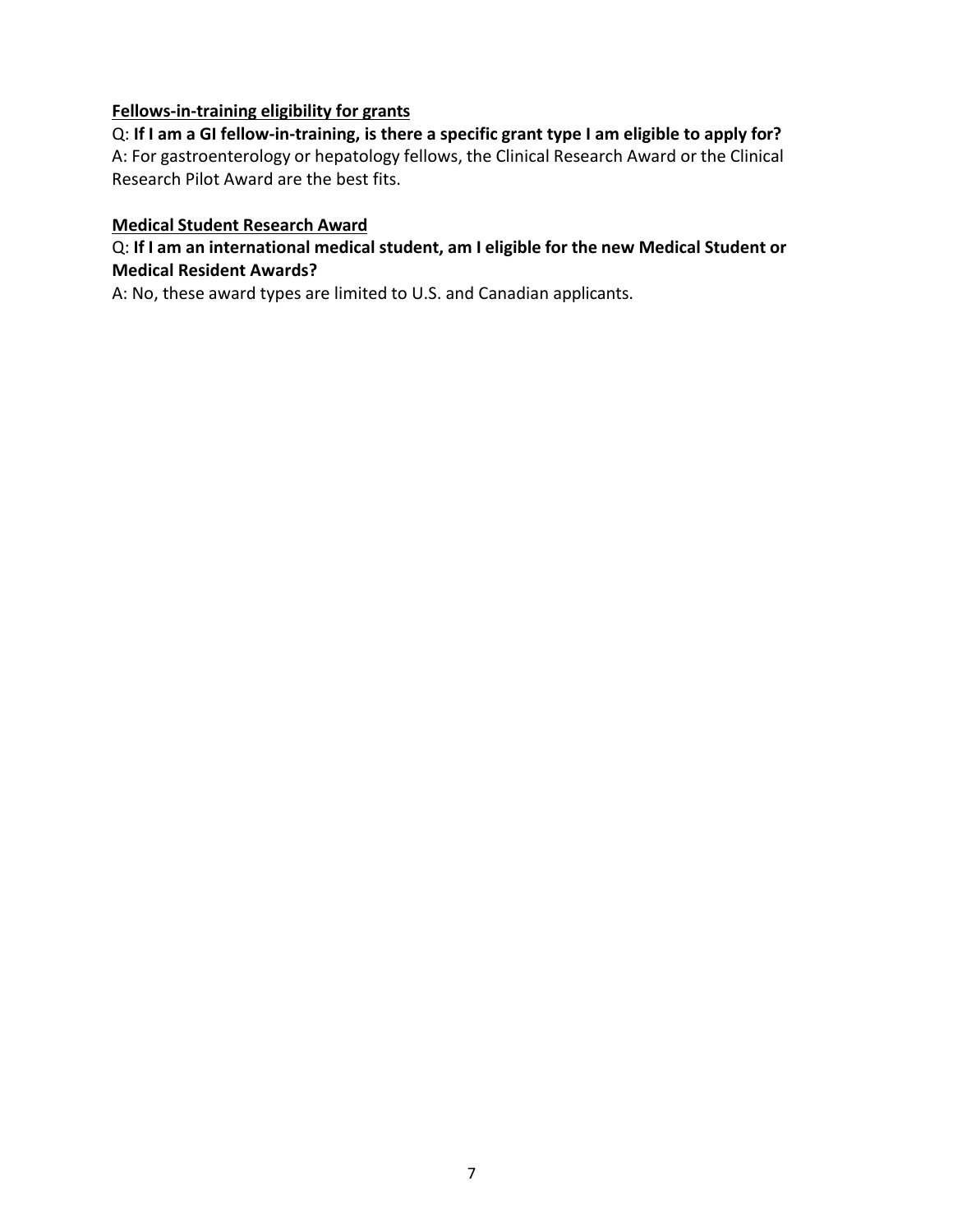#### **Fellows-in-training eligibility for grants**

Q: **If I am a GI fellow-in-training, is there a specific grant type I am eligible to apply for?** A: For gastroenterology or hepatology fellows, the Clinical Research Award or the Clinical Research Pilot Award are the best fits.

#### **Medical Student Research Award**

#### Q: **If I am an international medical student, am I eligible for the new Medical Student or Medical Resident Awards?**

A: No, these award types are limited to U.S. and Canadian applicants.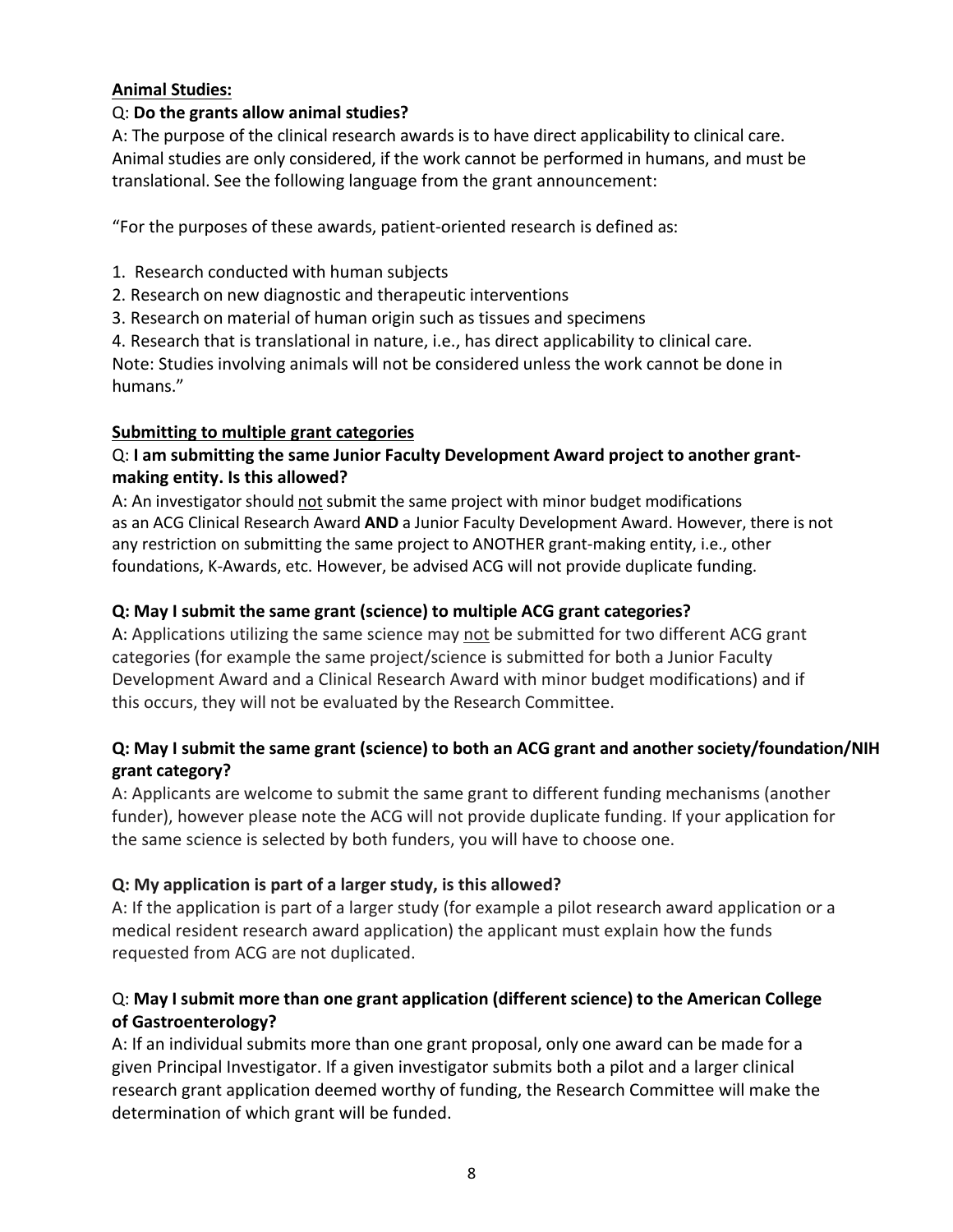#### **Animal Studies:**

#### Q: **Do the grants allow animal studies?**

A: The purpose of the clinical research awards is to have direct applicability to clinical care. Animal studies are only considered, if the work cannot be performed in humans, and must be translational. See the following language from the grant announcement:

"For the purposes of these awards, patient-oriented research is defined as:

1. Research conducted with human subjects

- 2. Research on new diagnostic and therapeutic interventions
- 3. Research on material of human origin such as tissues and specimens

4. Research that is translational in nature, i.e., has direct applicability to clinical care.

Note: Studies involving animals will not be considered unless the work cannot be done in humans."

#### **Submitting to multiple grant categories**

#### Q: **I am submitting the same Junior Faculty Development Award project to another grantmaking entity. Is this allowed?**

A: An investigator should not submit the same project with minor budget modifications as an ACG Clinical Research Award **AND** a Junior Faculty Development Award. However, there is not any restriction on submitting the same project to ANOTHER grant-making entity, i.e., other foundations, K-Awards, etc. However, be advised ACG will not provide duplicate funding.

### **Q: May I submit the same grant (science) to multiple ACG grant categories?**

A: Applications utilizing the same science may not be submitted for two different ACG grant categories (for example the same project/science is submitted for both a Junior Faculty Development Award and a Clinical Research Award with minor budget modifications) and if this occurs, they will not be evaluated by the Research Committee.

### **Q: May I submit the same grant (science) to both an ACG grant and another society/foundation/NIH grant category?**

A: Applicants are welcome to submit the same grant to different funding mechanisms (another funder), however please note the ACG will not provide duplicate funding. If your application for the same science is selected by both funders, you will have to choose one.

### **Q: My application is part of a larger study, is this allowed?**

A: If the application is part of a larger study (for example a pilot research award application or a medical resident research award application) the applicant must explain how the funds requested from ACG are not duplicated.

### Q: **May I submit more than one grant application (different science) to the American College of Gastroenterology?**

A: If an individual submits more than one grant proposal, only one award can be made for a given Principal Investigator. If a given investigator submits both a pilot and a larger clinical research grant application deemed worthy of funding, the Research Committee will make the determination of which grant will be funded.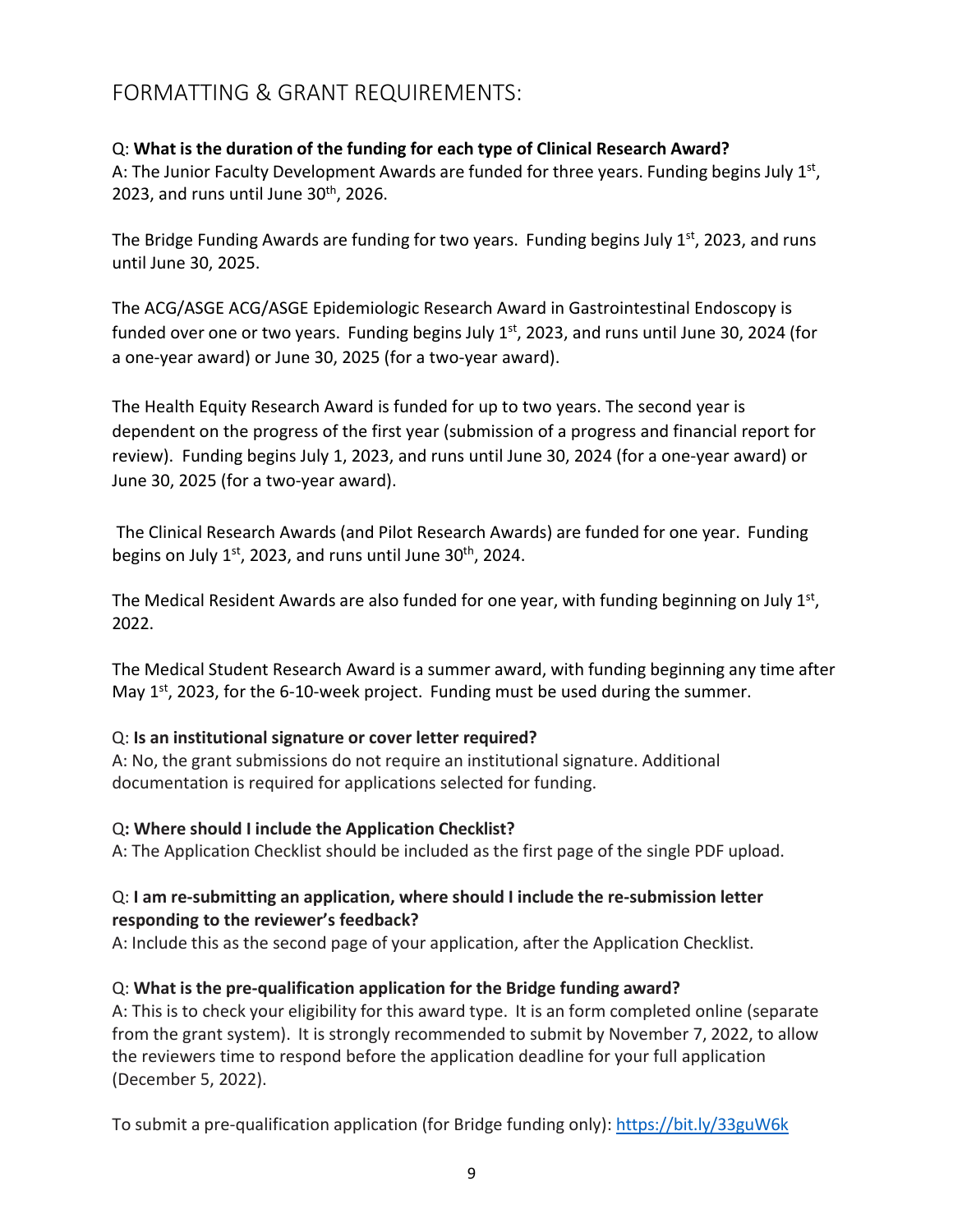# <span id="page-8-0"></span>FORMATTING & GRANT REQUIREMENTS:

#### Q: **What is the duration of the funding for each type of Clinical Research Award?**

A: The Junior Faculty Development Awards are funded for three years. Funding begins July  $1<sup>st</sup>$ , 2023, and runs until June  $30<sup>th</sup>$ , 2026.

The Bridge Funding Awards are funding for two years. Funding begins July  $1^{st}$ , 2023, and runs until June 30, 2025.

The ACG/ASGE ACG/ASGE Epidemiologic Research Award in Gastrointestinal Endoscopy is funded over one or two years. Funding begins July  $1<sup>st</sup>$ , 2023, and runs until June 30, 2024 (for a one-year award) or June 30, 2025 (for a two-year award).

The Health Equity Research Award is funded for up to two years. The second year is dependent on the progress of the first year (submission of a progress and financial report for review). Funding begins July 1, 2023, and runs until June 30, 2024 (for a one-year award) or June 30, 2025 (for a two-year award).

The Clinical Research Awards (and Pilot Research Awards) are funded for one year. Funding begins on July  $1<sup>st</sup>$ , 2023, and runs until June 30<sup>th</sup>, 2024.

The Medical Resident Awards are also funded for one year, with funding beginning on July  $1<sup>st</sup>$ , 2022.

The Medical Student Research Award is a summer award, with funding beginning any time after May  $1<sup>st</sup>$ , 2023, for the 6-10-week project. Funding must be used during the summer.

### Q: **Is an institutional signature or cover letter required?**

A: No, the grant submissions do not require an institutional signature. Additional documentation is required for applications selected for funding.

### Q**: Where should I include the Application Checklist?**

A: The Application Checklist should be included as the first page of the single PDF upload.

#### Q: **I am re-submitting an application, where should I include the re-submission letter responding to the reviewer's feedback?**

A: Include this as the second page of your application, after the Application Checklist.

### Q: **What is the pre-qualification application for the Bridge funding award?**

A: This is to check your eligibility for this award type. It is an form completed online (separate from the grant system). It is strongly recommended to submit by November 7, 2022, to allow the reviewers time to respond before the application deadline for your full application (December 5, 2022).

To submit a pre-qualification application (for Bridge funding only): <https://bit.ly/33guW6k>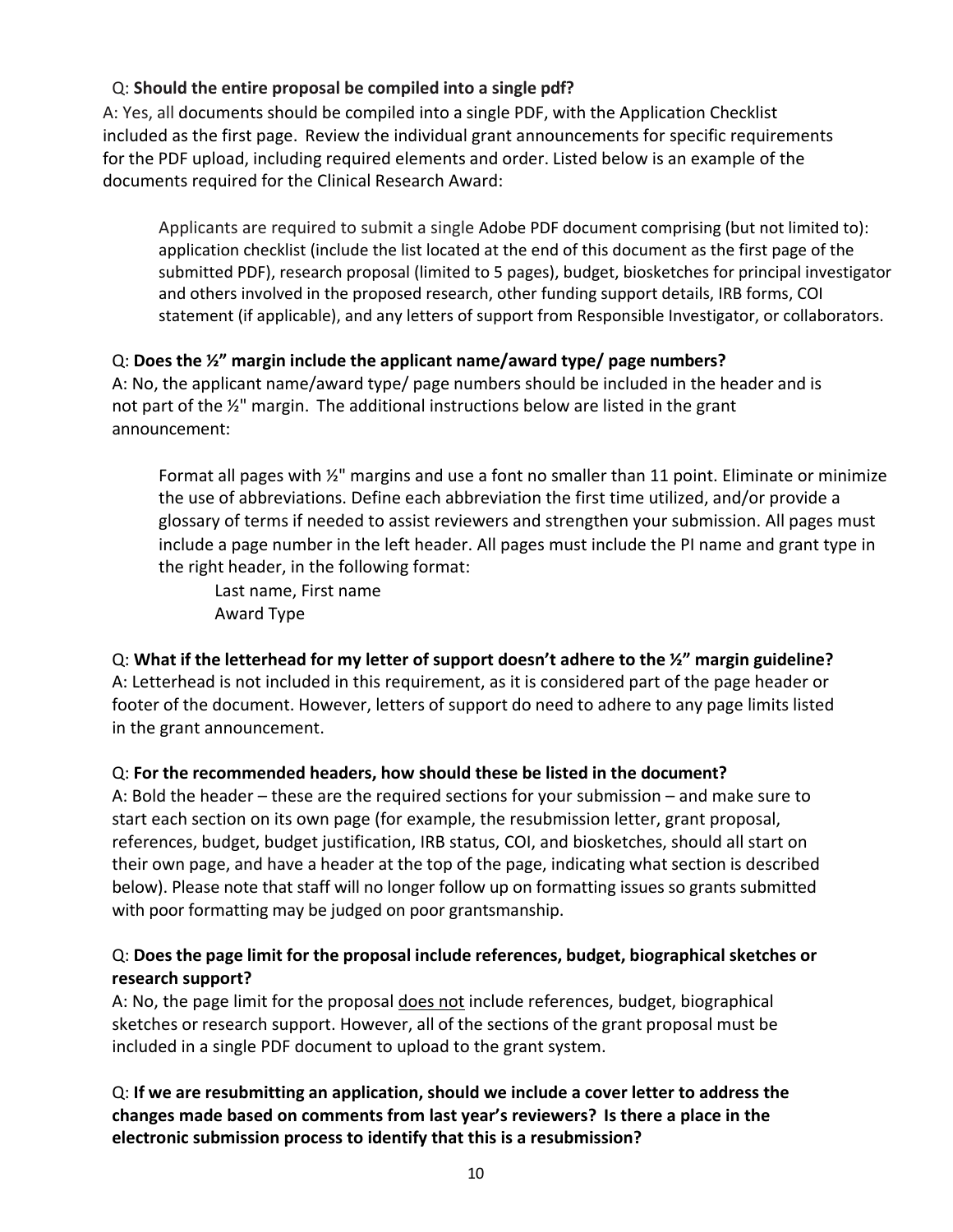### Q: **Should the entire proposal be compiled into a single pdf?**

A: Yes, all documents should be compiled into a single PDF, with the Application Checklist included as the first page. Review the individual grant announcements for specific requirements for the PDF upload, including required elements and order. Listed below is an example of the documents required for the Clinical Research Award:

Applicants are required to submit a single Adobe PDF document comprising (but not limited to): application checklist (include the list located at the end of this document as the first page of the submitted PDF), research proposal (limited to 5 pages), budget, biosketches for principal investigator and others involved in the proposed research, other funding support details, IRB forms, COI statement (if applicable), and any letters of support from Responsible Investigator, or collaborators.

#### Q: **Does the ½" margin include the applicant name/award type/ page numbers?**

A: No, the applicant name/award type/ page numbers should be included in the header and is not part of the ½" margin. The additional instructions below are listed in the grant announcement:

Format all pages with ½" margins and use a font no smaller than 11 point. Eliminate or minimize the use of abbreviations. Define each abbreviation the first time utilized, and/or provide a glossary of terms if needed to assist reviewers and strengthen your submission. All pages must include a page number in the left header. All pages must include the PI name and grant type in the right header, in the following format:

Last name, First name Award Type

### Q: **What if the letterhead for my letter of support doesn't adhere to the ½" margin guideline?**

A: Letterhead is not included in this requirement, as it is considered part of the page header or footer of the document. However, letters of support do need to adhere to any page limits listed in the grant announcement.

#### Q: **For the recommended headers, how should these be listed in the document?**

A: Bold the header – these are the required sections for your submission – and make sure to start each section on its own page (for example, the resubmission letter, grant proposal, references, budget, budget justification, IRB status, COI, and biosketches, should all start on their own page, and have a header at the top of the page, indicating what section is described below). Please note that staff will no longer follow up on formatting issues so grants submitted with poor formatting may be judged on poor grantsmanship.

#### Q: **Does the page limit for the proposal include references, budget, biographical sketches or research support?**

A: No, the page limit for the proposal does not include references, budget, biographical sketches or research support. However, all of the sections of the grant proposal must be included in a single PDF document to upload to the grant system.

Q: **If we are resubmitting an application, should we include a cover letter to address the changes made based on comments from last year's reviewers? Is there a place in the electronic submission process to identify that this is a resubmission?**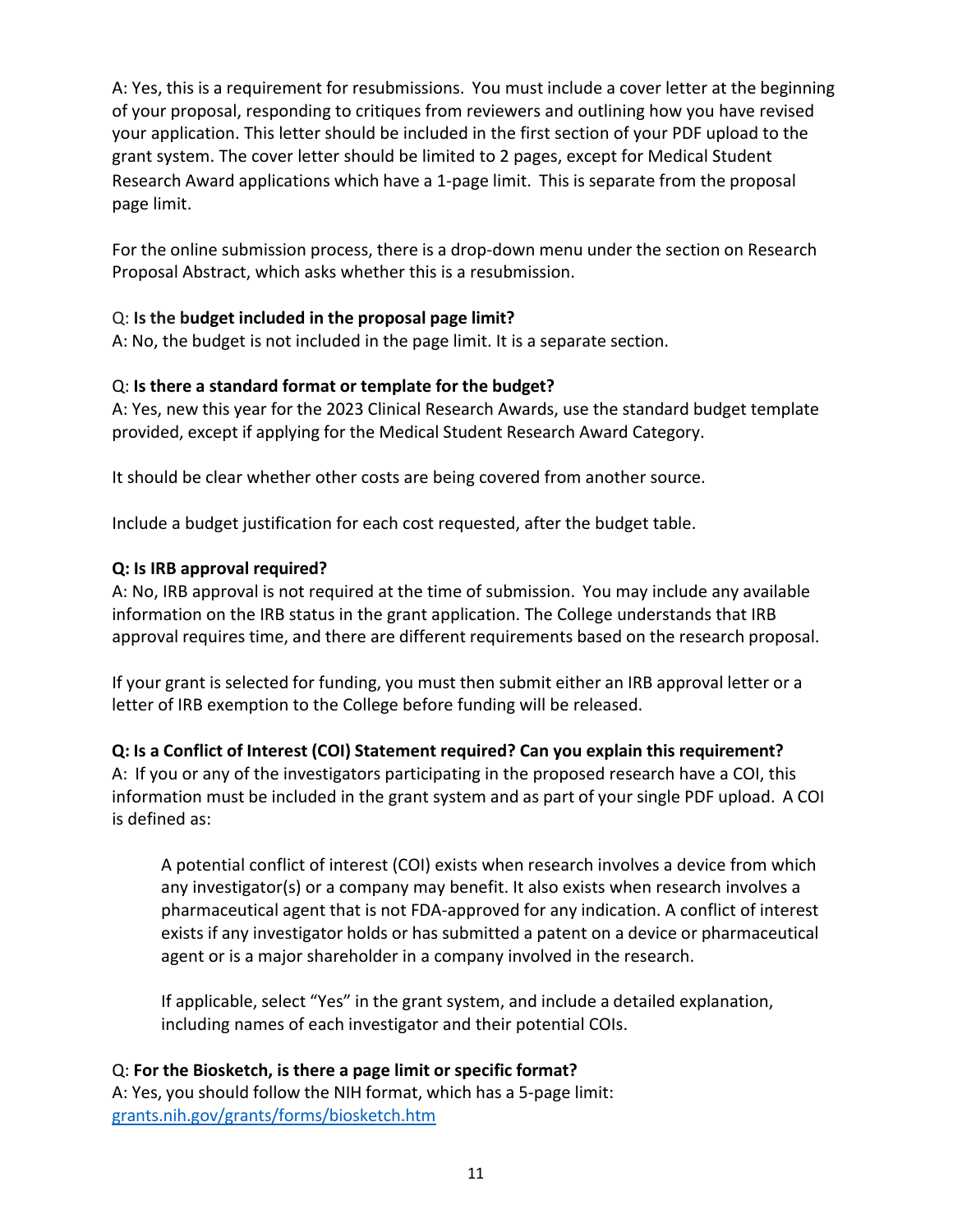A: Yes, this is a requirement for resubmissions. You must include a cover letter at the beginning of your proposal, responding to critiques from reviewers and outlining how you have revised your application. This letter should be included in the first section of your PDF upload to the grant system. The cover letter should be limited to 2 pages, except for Medical Student Research Award applications which have a 1-page limit. This is separate from the proposal page limit.

For the online submission process, there is a drop-down menu under the section on Research Proposal Abstract, which asks whether this is a resubmission.

#### Q: **Is the budget included in the proposal page limit?**

A: No, the budget is not included in the page limit. It is a separate section.

#### Q: **Is there a standard format or template for the budget?**

A: Yes, new this year for the 2023 Clinical Research Awards, use the standard budget template provided, except if applying for the Medical Student Research Award Category.

It should be clear whether other costs are being covered from another source.

Include a budget justification for each cost requested, after the budget table.

#### **Q: Is IRB approval required?**

A: No, IRB approval is not required at the time of submission. You may include any available information on the IRB status in the grant application. The College understands that IRB approval requires time, and there are different requirements based on the research proposal.

If your grant is selected for funding, you must then submit either an IRB approval letter or a letter of IRB exemption to the College before funding will be released.

### **Q: Is a Conflict of Interest (COI) Statement required? Can you explain this requirement?**

A: If you or any of the investigators participating in the proposed research have a COI, this information must be included in the grant system and as part of your single PDF upload. A COI is defined as:

A potential conflict of interest (COI) exists when research involves a device from which any investigator(s) or a company may benefit. It also exists when research involves a pharmaceutical agent that is not FDA-approved for any indication. A conflict of interest exists if any investigator holds or has submitted a patent on a device or pharmaceutical agent or is a major shareholder in a company involved in the research.

If applicable, select "Yes" in the grant system, and include a detailed explanation, including names of each investigator and their potential COIs.

### Q: **For the Biosketch, is there a page limit or specific format?**

A: Yes, you should follow the NIH format, which has a 5-page limit: [grants.nih.gov/grants/forms/biosketch.htm](https://grants.nih.gov/grants/forms/biosketch.htm)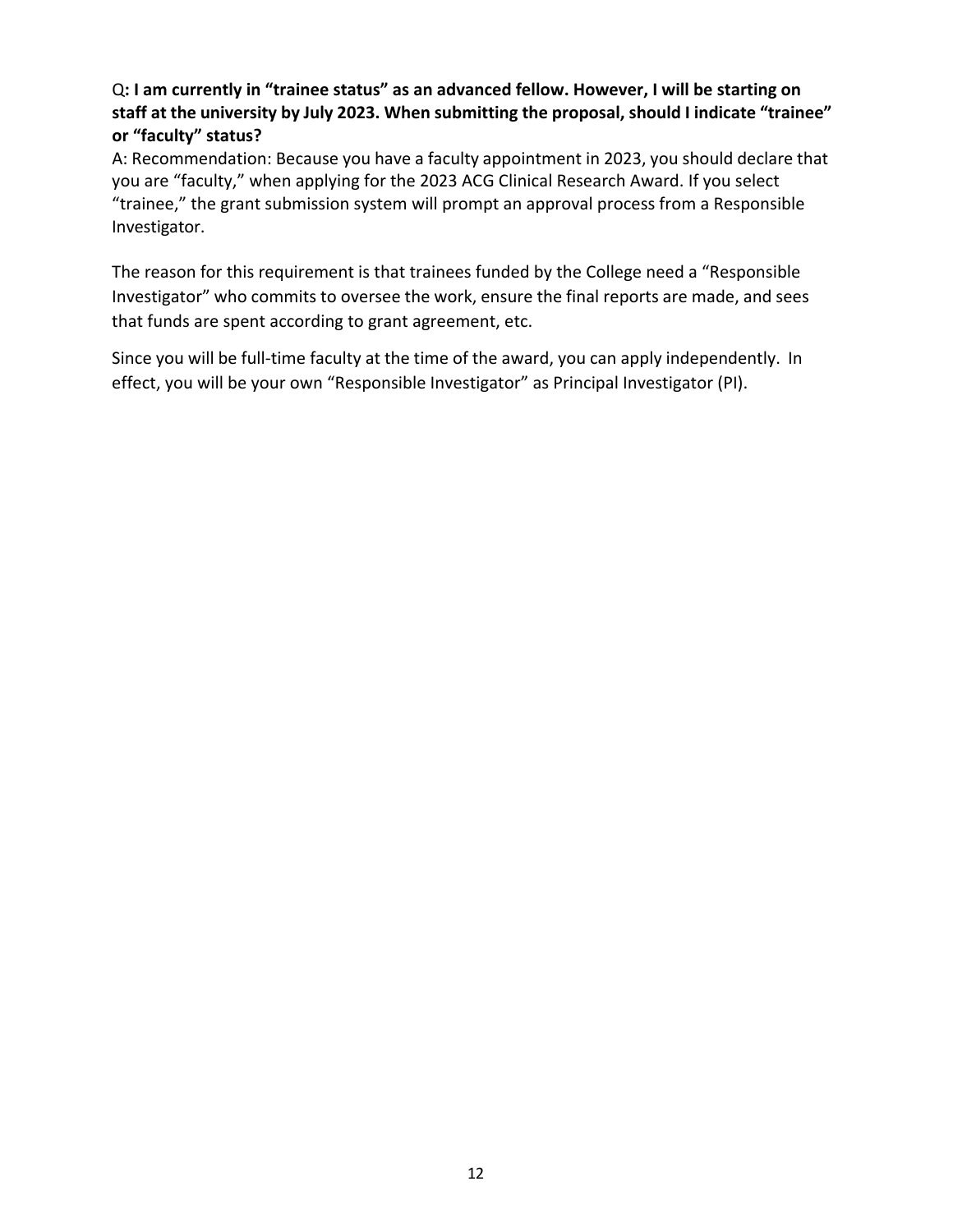#### Q**: I am currently in "trainee status" as an advanced fellow. However, I will be starting on staff at the university by July 2023. When submitting the proposal, should I indicate "trainee" or "faculty" status?**

A: Recommendation: Because you have a faculty appointment in 2023, you should declare that you are "faculty," when applying for the 2023 ACG Clinical Research Award. If you select "trainee," the grant submission system will prompt an approval process from a Responsible Investigator.

The reason for this requirement is that trainees funded by the College need a "Responsible Investigator" who commits to oversee the work, ensure the final reports are made, and sees that funds are spent according to grant agreement, etc.

Since you will be full-time faculty at the time of the award, you can apply independently. In effect, you will be your own "Responsible Investigator" as Principal Investigator (PI).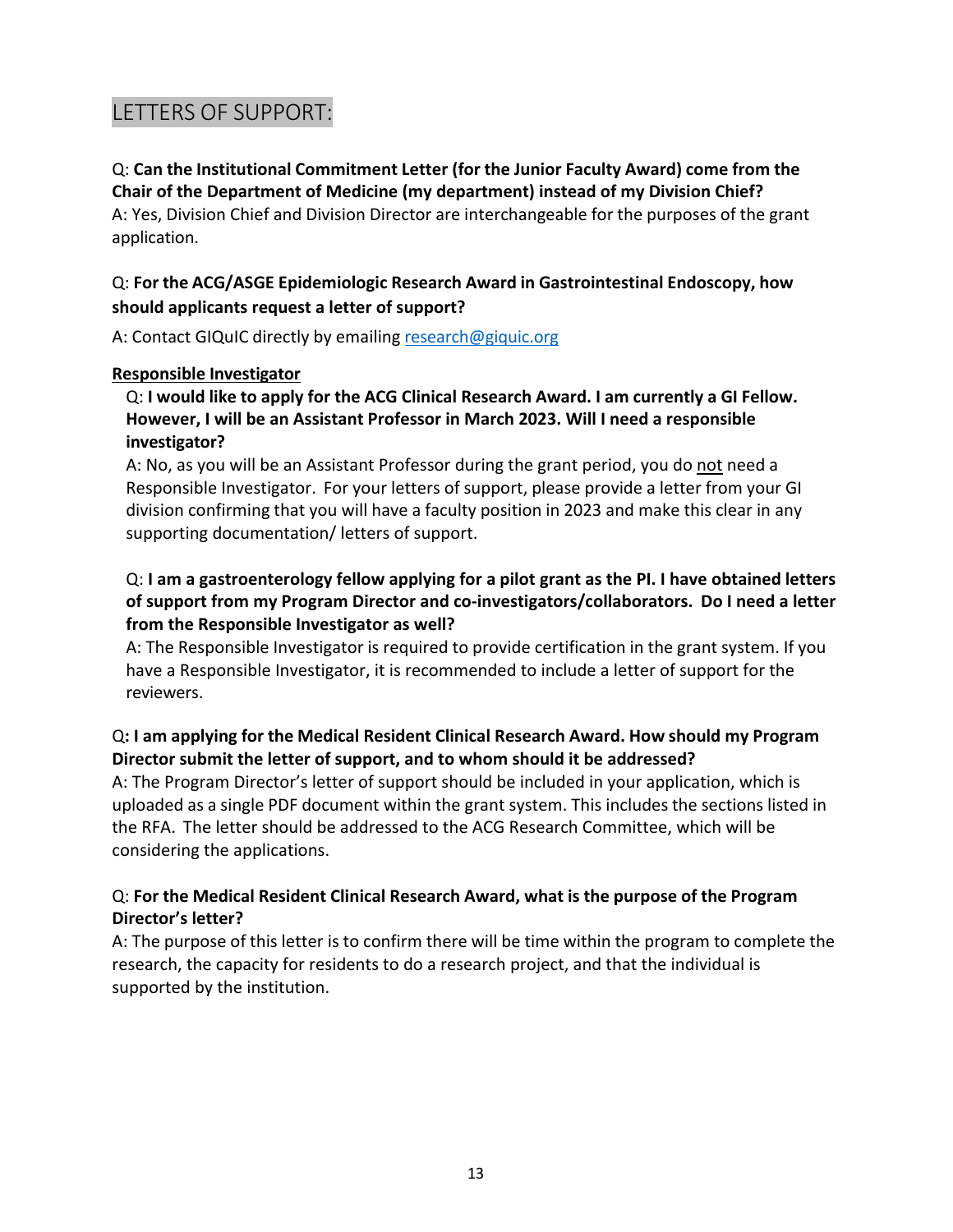# <span id="page-12-0"></span>LETTERS OF SUPPORT:

Q: **Can the Institutional Commitment Letter (for the Junior Faculty Award) come from the Chair of the Department of Medicine (my department) instead of my Division Chief?** A: Yes, Division Chief and Division Director are interchangeable for the purposes of the grant application.

#### Q: **For the ACG/ASGE Epidemiologic Research Award in Gastrointestinal Endoscopy, how should applicants request a letter of support?**

A: Contact GIQuIC directly by emailing [research@giquic.org](mailto:research@giquic.org)

#### **Responsible Investigator**

Q: **I would like to apply for the ACG Clinical Research Award. I am currently a GI Fellow. However, I will be an Assistant Professor in March 2023. Will I need a responsible investigator?**

A: No, as you will be an Assistant Professor during the grant period, you do not need a Responsible Investigator. For your letters of support, please provide a letter from your GI division confirming that you will have a faculty position in 2023 and make this clear in any supporting documentation/ letters of support.

#### Q: **I am a gastroenterology fellow applying for a pilot grant as the PI. I have obtained letters of support from my Program Director and co-investigators/collaborators. Do I need a letter from the Responsible Investigator as well?**

A: The Responsible Investigator is required to provide certification in the grant system. If you have a Responsible Investigator, it is recommended to include a letter of support for the reviewers.

### Q**: I am applying for the Medical Resident Clinical Research Award. How should my Program Director submit the letter of support, and to whom should it be addressed?**

A: The Program Director's letter of support should be included in your application, which is uploaded as a single PDF document within the grant system. This includes the sections listed in the RFA. The letter should be addressed to the ACG Research Committee, which will be considering the applications.

#### Q: **For the Medical Resident Clinical Research Award, what is the purpose of the Program Director's letter?**

A: The purpose of this letter is to confirm there will be time within the program to complete the research, the capacity for residents to do a research project, and that the individual is supported by the institution.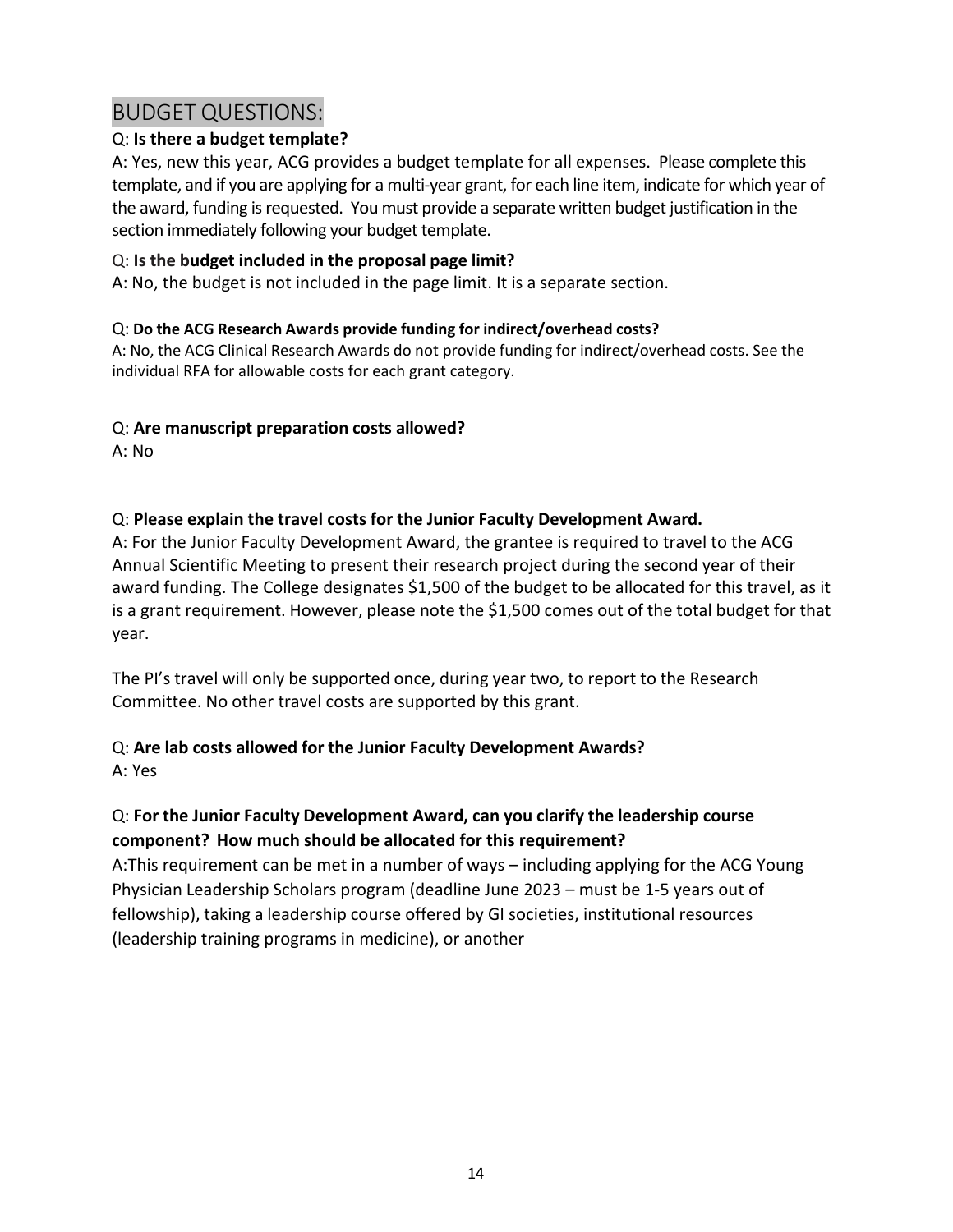# <span id="page-13-0"></span>BUDGET QUESTIONS:

### Q: **Is there a budget template?**

A: Yes, new this year, ACG provides a budget template for all expenses. Please complete this template, and if you are applying for a multi-year grant, for each line item, indicate for which year of the award, funding is requested. You must provide a separate written budget justification in the section immediately following your budget template.

### Q: **Is the budget included in the proposal page limit?**

A: No, the budget is not included in the page limit. It is a separate section.

#### Q: **Do the ACG Research Awards provide funding for indirect/overhead costs?**

A: No, the ACG Clinical Research Awards do not provide funding for indirect/overhead costs. See the individual RFA for allowable costs for each grant category.

### Q: **Are manuscript preparation costs allowed?**

A: No

### Q: **Please explain the travel costs for the Junior Faculty Development Award.**

A: For the Junior Faculty Development Award, the grantee is required to travel to the ACG Annual Scientific Meeting to present their research project during the second year of their award funding. The College designates \$1,500 of the budget to be allocated for this travel, as it is a grant requirement. However, please note the \$1,500 comes out of the total budget for that year.

The PI's travel will only be supported once, during year two, to report to the Research Committee. No other travel costs are supported by this grant.

## Q: **Are lab costs allowed for the Junior Faculty Development Awards?**

A: Yes

### Q: **For the Junior Faculty Development Award, can you clarify the leadership course component? How much should be allocated for this requirement?**

A:This requirement can be met in a number of ways – including applying for the ACG Young Physician Leadership Scholars program (deadline June 2023 – must be 1-5 years out of fellowship), taking a leadership course offered by GI societies, institutional resources (leadership training programs in medicine), or another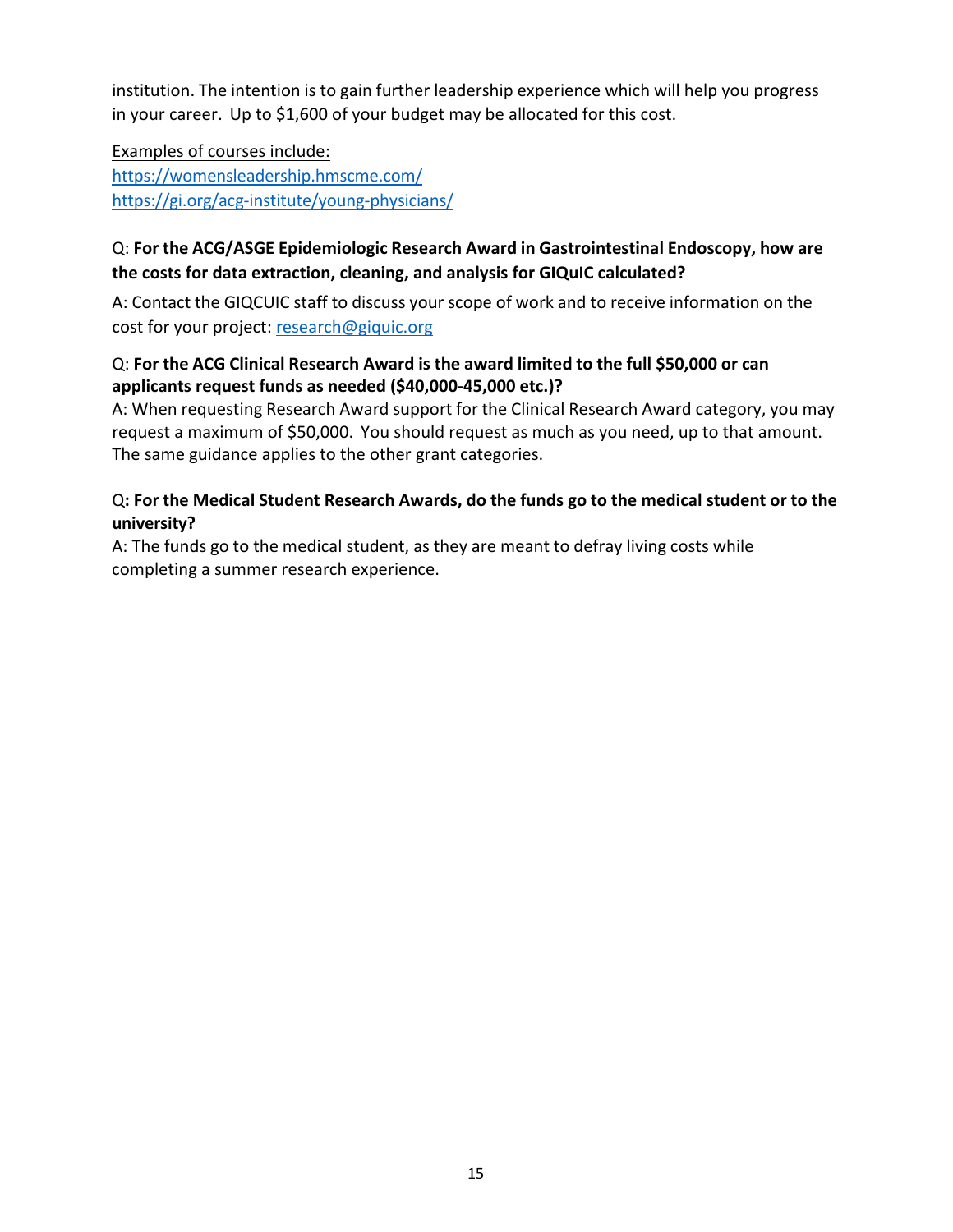institution. The intention is to gain further leadership experience which will help you progress in your career. Up to \$1,600 of your budget may be allocated for this cost.

Examples of courses include: <https://womensleadership.hmscme.com/> <https://gi.org/acg-institute/young-physicians/>

### Q: **For the ACG/ASGE Epidemiologic Research Award in Gastrointestinal Endoscopy, how are the costs for data extraction, cleaning, and analysis for GIQuIC calculated?**

A: Contact the GIQCUIC staff to discuss your scope of work and to receive information on the cost for your project: [research@giquic.org](mailto:research@giquic.org)

#### Q: **For the ACG Clinical Research Award is the award limited to the full \$50,000 or can applicants request funds as needed (\$40,000-45,000 etc.)?**

A: When requesting Research Award support for the Clinical Research Award category, you may request a maximum of \$50,000. You should request as much as you need, up to that amount. The same guidance applies to the other grant categories.

### Q**: For the Medical Student Research Awards, do the funds go to the medical student or to the university?**

A: The funds go to the medical student, as they are meant to defray living costs while completing a summer research experience.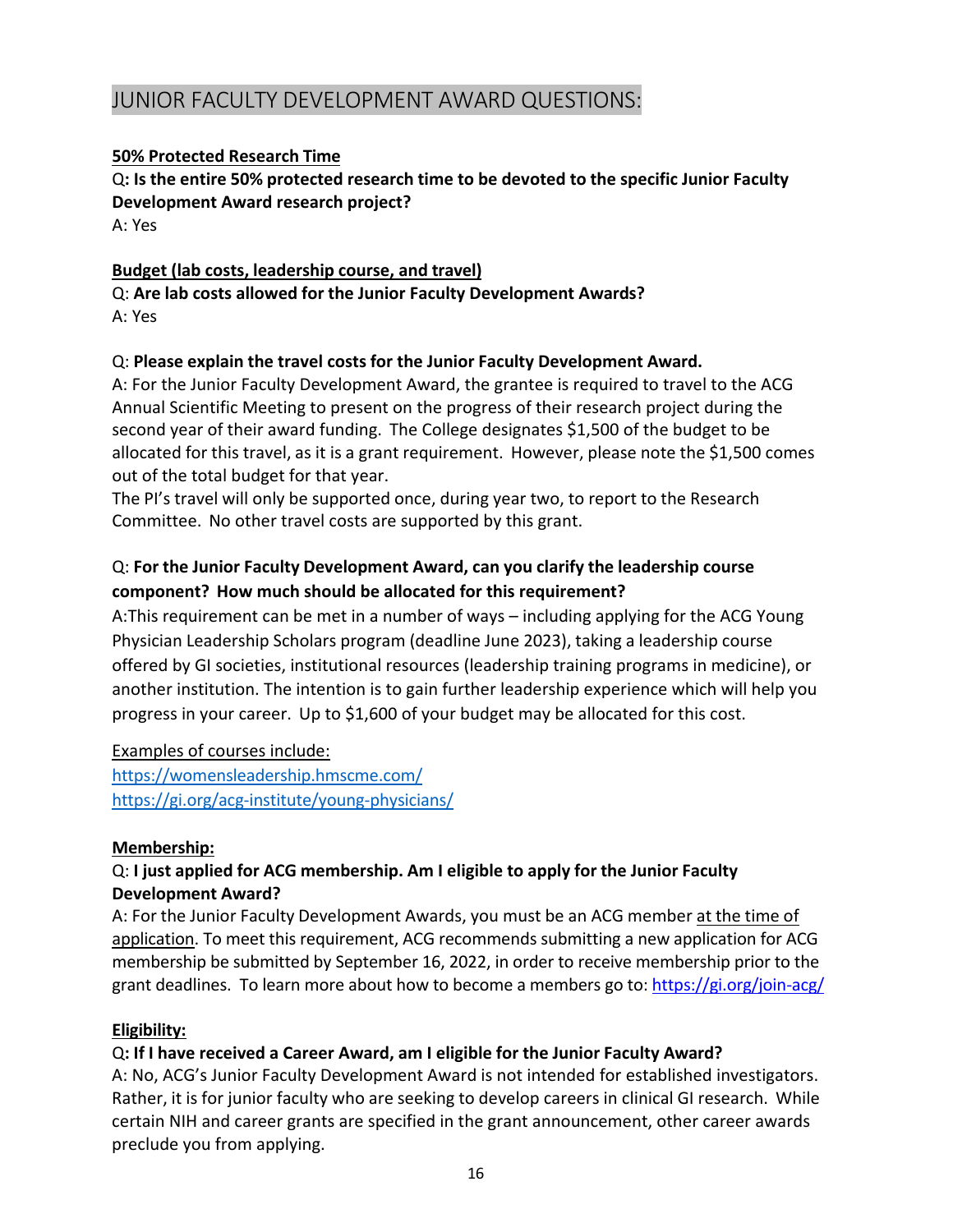# <span id="page-15-0"></span>JUNIOR FACULTY DEVELOPMENT AWARD QUESTIONS:

#### **50% Protected Research Time**

Q**: Is the entire 50% protected research time to be devoted to the specific Junior Faculty Development Award research project?** A: Yes

#### **Budget (lab costs, leadership course, and travel)**

Q: **Are lab costs allowed for the Junior Faculty Development Awards?** A: Yes

#### Q: **Please explain the travel costs for the Junior Faculty Development Award.**

A: For the Junior Faculty Development Award, the grantee is required to travel to the ACG Annual Scientific Meeting to present on the progress of their research project during the second year of their award funding. The College designates \$1,500 of the budget to be allocated for this travel, as it is a grant requirement. However, please note the \$1,500 comes out of the total budget for that year.

The PI's travel will only be supported once, during year two, to report to the Research Committee. No other travel costs are supported by this grant.

### Q: **For the Junior Faculty Development Award, can you clarify the leadership course component? How much should be allocated for this requirement?**

A:This requirement can be met in a number of ways – including applying for the ACG Young Physician Leadership Scholars program (deadline June 2023), taking a leadership course offered by GI societies, institutional resources (leadership training programs in medicine), or another institution. The intention is to gain further leadership experience which will help you progress in your career. Up to \$1,600 of your budget may be allocated for this cost.

Examples of courses include: <https://womensleadership.hmscme.com/> <https://gi.org/acg-institute/young-physicians/>

#### **Membership:**

### Q: **I just applied for ACG membership. Am I eligible to apply for the Junior Faculty Development Award?**

A: For the Junior Faculty Development Awards, you must be an ACG member at the time of application. To meet this requirement, ACG recommends submitting a new application for ACG membership be submitted by September 16, 2022, in order to receive membership prior to the grant deadlines. To learn more about how to become a members go to:<https://gi.org/join-acg/>

#### **Eligibility:**

#### Q**: If I have received a Career Award, am I eligible for the Junior Faculty Award?**

A: No, ACG's Junior Faculty Development Award is not intended for established investigators. Rather, it is for junior faculty who are seeking to develop careers in clinical GI research. While certain NIH and career grants are specified in the grant announcement, other career awards preclude you from applying.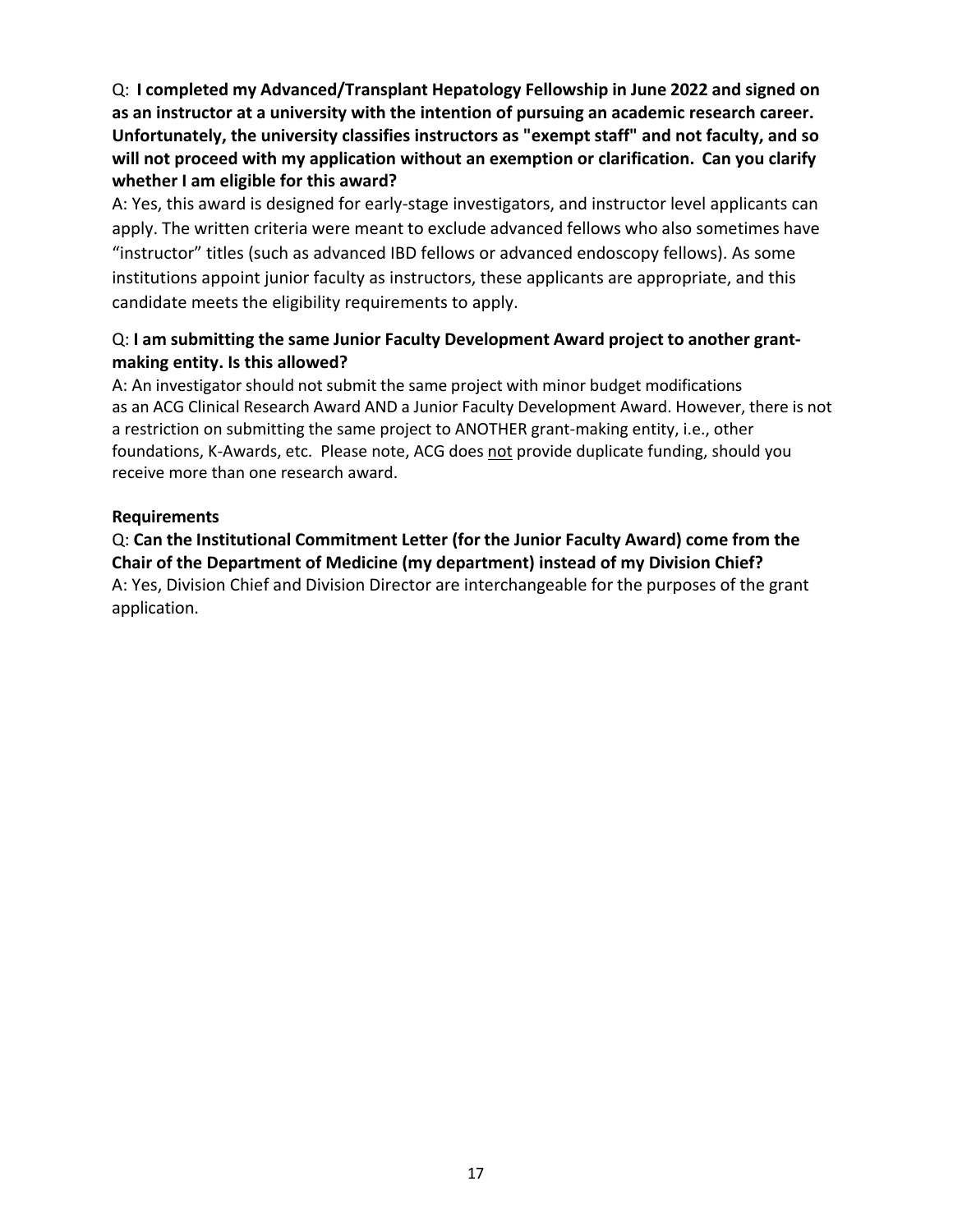Q: **I completed my Advanced/Transplant Hepatology Fellowship in June 2022 and signed on as an instructor at a university with the intention of pursuing an academic research career. Unfortunately, the university classifies instructors as "exempt staff" and not faculty, and so will not proceed with my application without an exemption or clarification. Can you clarify whether I am eligible for this award?**

A: Yes, this award is designed for early-stage investigators, and instructor level applicants can apply. The written criteria were meant to exclude advanced fellows who also sometimes have "instructor" titles (such as advanced IBD fellows or advanced endoscopy fellows). As some institutions appoint junior faculty as instructors, these applicants are appropriate, and this candidate meets the eligibility requirements to apply.

#### Q: **I am submitting the same Junior Faculty Development Award project to another grantmaking entity. Is this allowed?**

A: An investigator should not submit the same project with minor budget modifications as an ACG Clinical Research Award AND a Junior Faculty Development Award. However, there is not a restriction on submitting the same project to ANOTHER grant-making entity, i.e., other foundations, K-Awards, etc. Please note, ACG does not provide duplicate funding, should you receive more than one research award.

#### **Requirements**

Q: **Can the Institutional Commitment Letter (for the Junior Faculty Award) come from the Chair of the Department of Medicine (my department) instead of my Division Chief?** A: Yes, Division Chief and Division Director are interchangeable for the purposes of the grant application.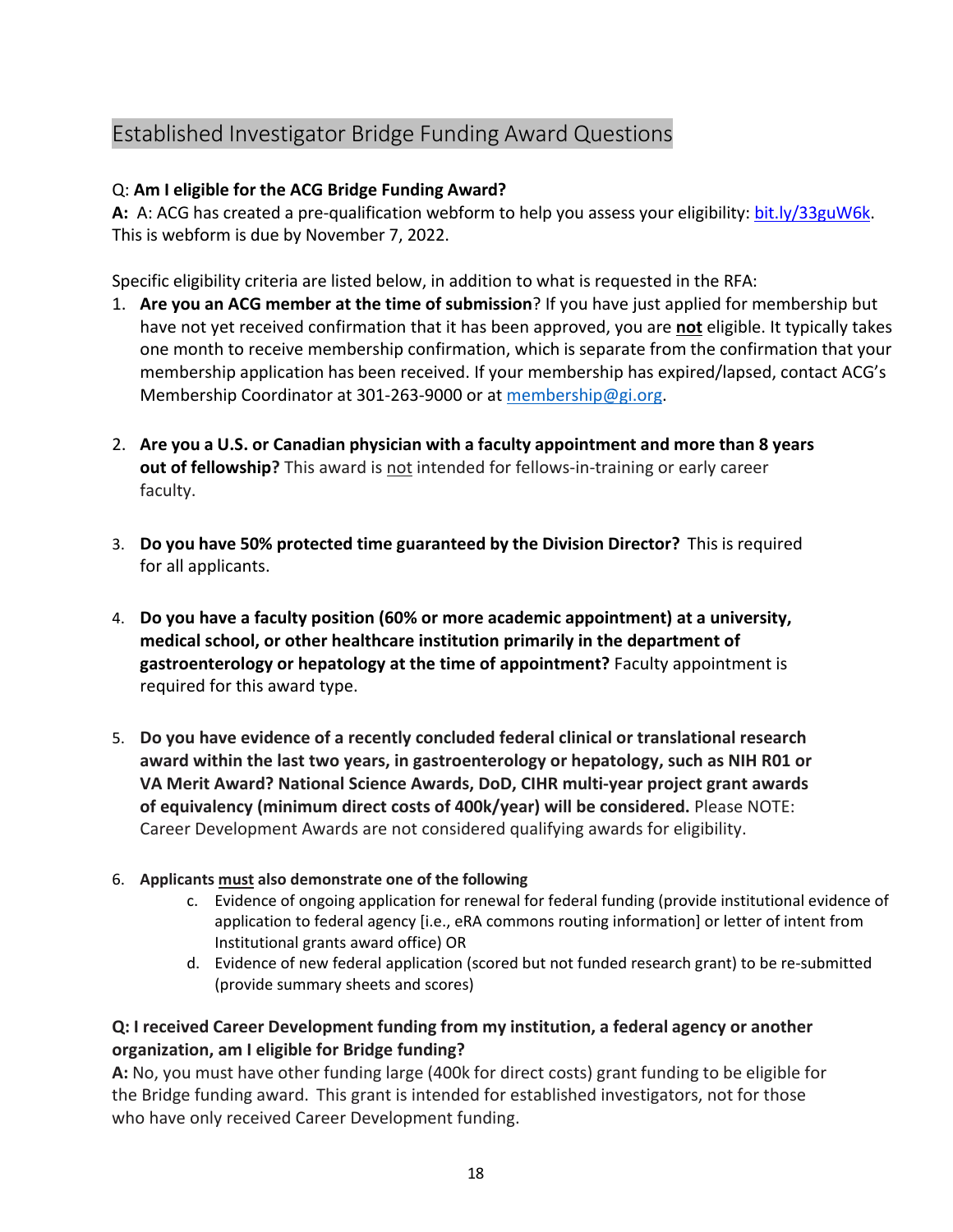# <span id="page-17-0"></span>Established Investigator Bridge Funding Award Questions

### Q: **Am I eligible for the ACG Bridge Funding Award?**

**A:** A: ACG has created a pre-qualification webform to help you assess your eligibility: [bit.ly/33guW6k.](https://bit.ly/33guW6k) This is webform is due by November 7, 2022.

Specific eligibility criteria are listed below, in addition to what is requested in the RFA:

- 1. **Are you an ACG member at the time of submission**? If you have just applied for membership but have not yet received confirmation that it has been approved, you are **not** eligible. It typically takes one month to receive membership confirmation, which is separate from the confirmation that your membership application has been received. If your membership has expired/lapsed, contact ACG's Membership Coordinator at 301-263-9000 or at [membership@gi.org.](mailto:membership@gi.org)
- 2. **Are you a U.S. or Canadian physician with a faculty appointment and more than 8 years out of fellowship?** This award is not intended for fellows-in-training or early career faculty.
- 3. **Do you have 50% protected time guaranteed by the Division Director?** This is required for all applicants.
- 4. **Do you have a faculty position (60% or more academic appointment) at a university, medical school, or other healthcare institution primarily in the department of gastroenterology or hepatology at the time of appointment?** Faculty appointment is required for this award type.
- 5. **Do you have evidence of a recently concluded federal clinical or translational research award within the last two years, in gastroenterology or hepatology, such as NIH R01 or VA Merit Award? National Science Awards, DoD, CIHR multi-year project grant awards of equivalency (minimum direct costs of 400k/year) will be considered.** Please NOTE: Career Development Awards are not considered qualifying awards for eligibility.

#### 6. **Applicants must also demonstrate one of the following**

- c. Evidence of ongoing application for renewal for federal funding (provide institutional evidence of application to federal agency [i.e., eRA commons routing information] or letter of intent from Institutional grants award office) OR
- d. Evidence of new federal application (scored but not funded research grant) to be re-submitted (provide summary sheets and scores)

#### **Q: I received Career Development funding from my institution, a federal agency or another organization, am I eligible for Bridge funding?**

**A:** No, you must have other funding large (400k for direct costs) grant funding to be eligible for the Bridge funding award. This grant is intended for established investigators, not for those who have only received Career Development funding.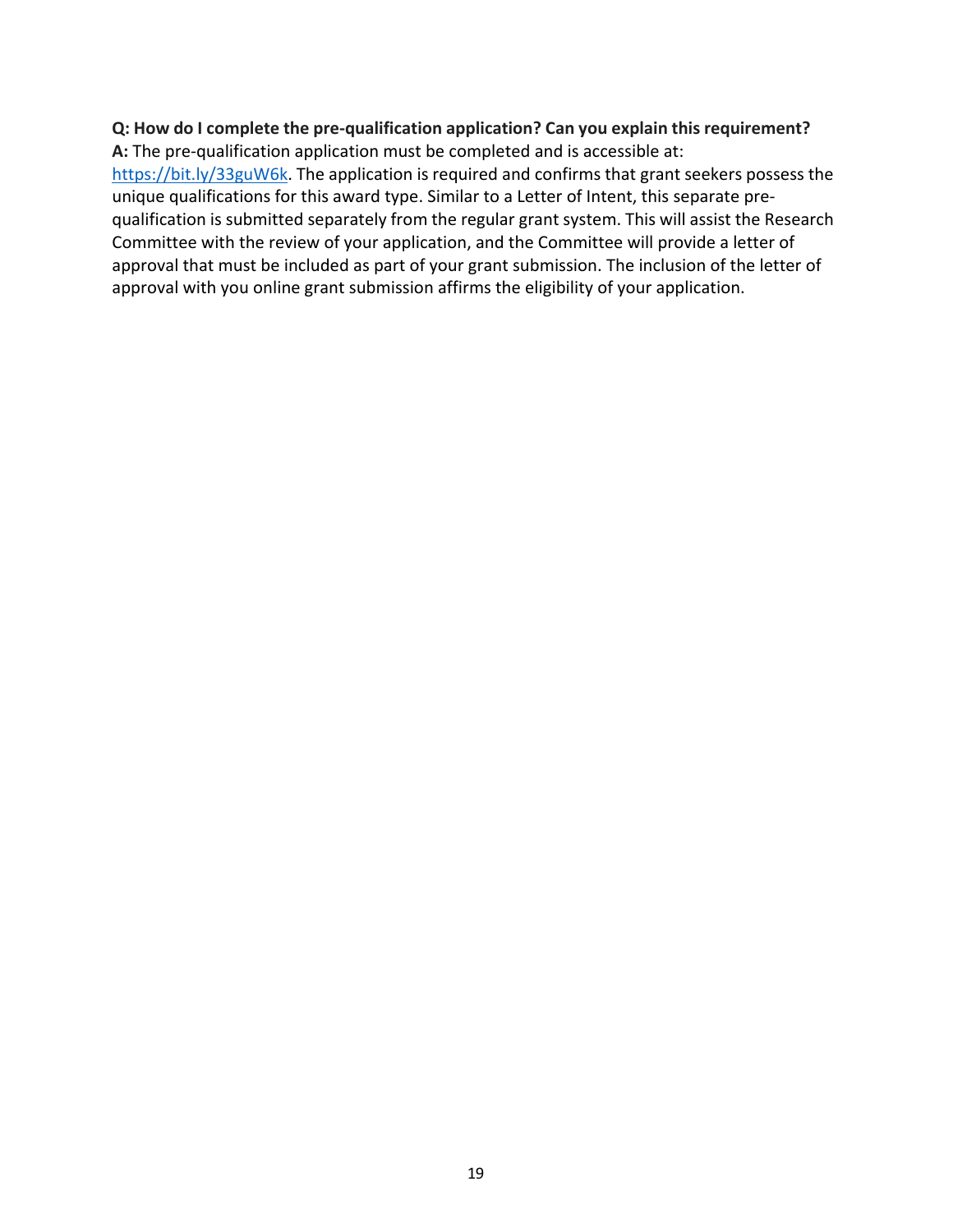# **Q: How do I complete the pre-qualification application? Can you explain this requirement?**

**A:** The pre-qualification application must be completed and is accessible at: [https://bit.ly/33guW6k.](https://bit.ly/33guW6k) The application is required and confirms that grant seekers possess the unique qualifications for this award type. Similar to a Letter of Intent, this separate prequalification is submitted separately from the regular grant system. This will assist the Research Committee with the review of your application, and the Committee will provide a letter of approval that must be included as part of your grant submission. The inclusion of the letter of approval with you online grant submission affirms the eligibility of your application.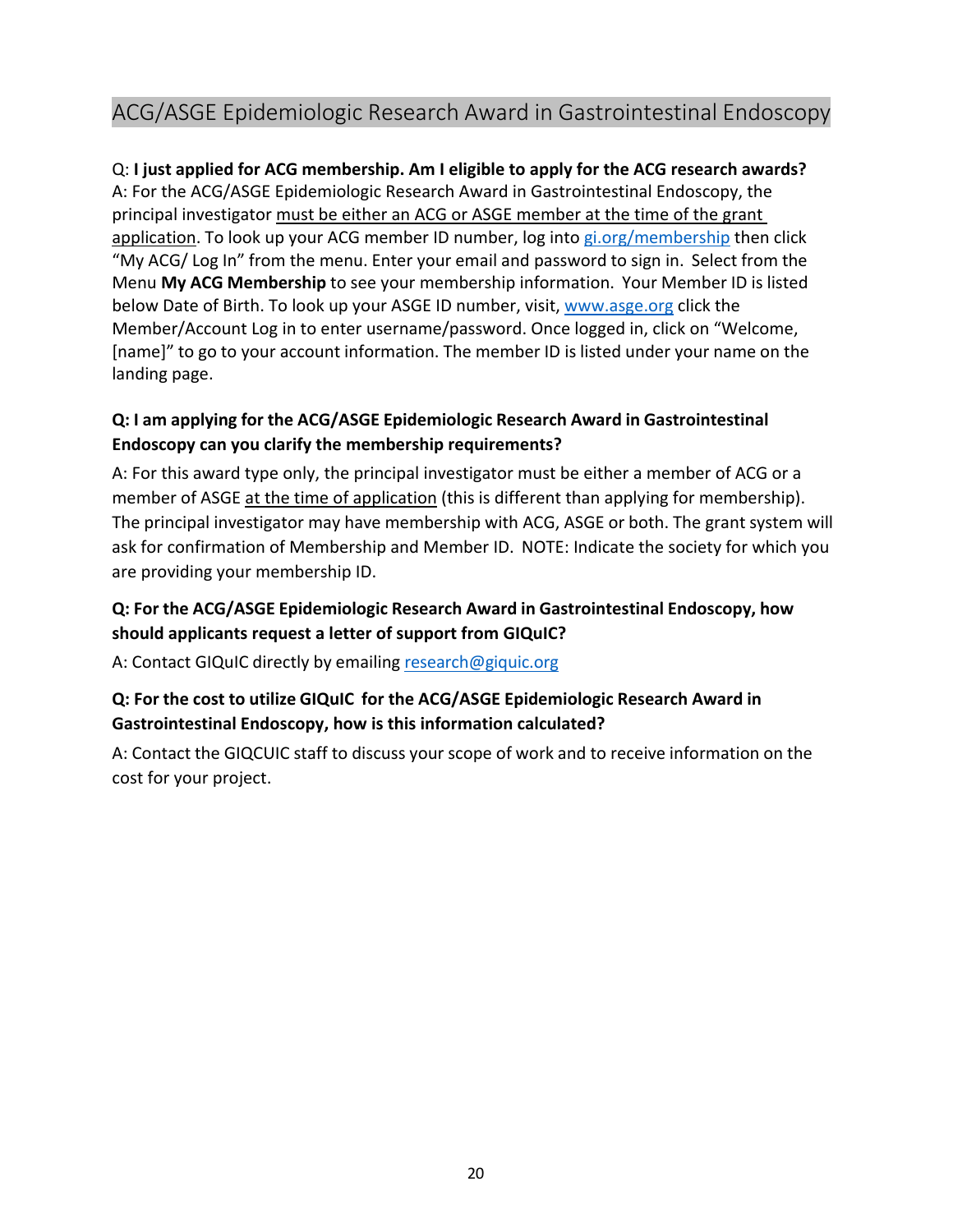# <span id="page-19-0"></span>ACG/ASGE Epidemiologic Research Award in Gastrointestinal Endoscopy

#### Q: **I just applied for ACG membership. Am I eligible to apply for the ACG research awards?**

A: For the ACG/ASGE Epidemiologic Research Award in Gastrointestinal Endoscopy, the principal investigator must be either an ACG or ASGE member at the time of the grant application. To look up your ACG member ID number, log into [gi.org/membership](http://gi.org/membership) then click "My ACG/ Log In" from the menu. Enter your email and password to sign in. Select from the Menu **My ACG Membership** to see your membership information. Your Member ID is listed below Date of Birth. To look up your ASGE ID number, visit, [www.asge.org c](http://www.asge.org/)lick the Member/Account Log in to enter username/password. Once logged in, click on "Welcome, [name]" to go to your account information. The member ID is listed under your name on the landing page.

### **Q: I am applying for the ACG/ASGE Epidemiologic Research Award in Gastrointestinal Endoscopy can you clarify the membership requirements?**

A: For this award type only, the principal investigator must be either a member of ACG or a member of ASGE at the time of application (this is different than applying for membership). The principal investigator may have membership with ACG, ASGE or both. The grant system will ask for confirmation of Membership and Member ID. NOTE: Indicate the society for which you are providing your membership ID.

### **Q: For the ACG/ASGE Epidemiologic Research Award in Gastrointestinal Endoscopy, how should applicants request a letter of support from GIQuIC?**

A: Contact GIQuIC directly by emailing [research@giquic.org](mailto:research@giquic.org)

### **Q: For the cost to utilize GIQuIC for the ACG/ASGE Epidemiologic Research Award in Gastrointestinal Endoscopy, how is this information calculated?**

A: Contact the GIQCUIC staff to discuss your scope of work and to receive information on the cost for your project.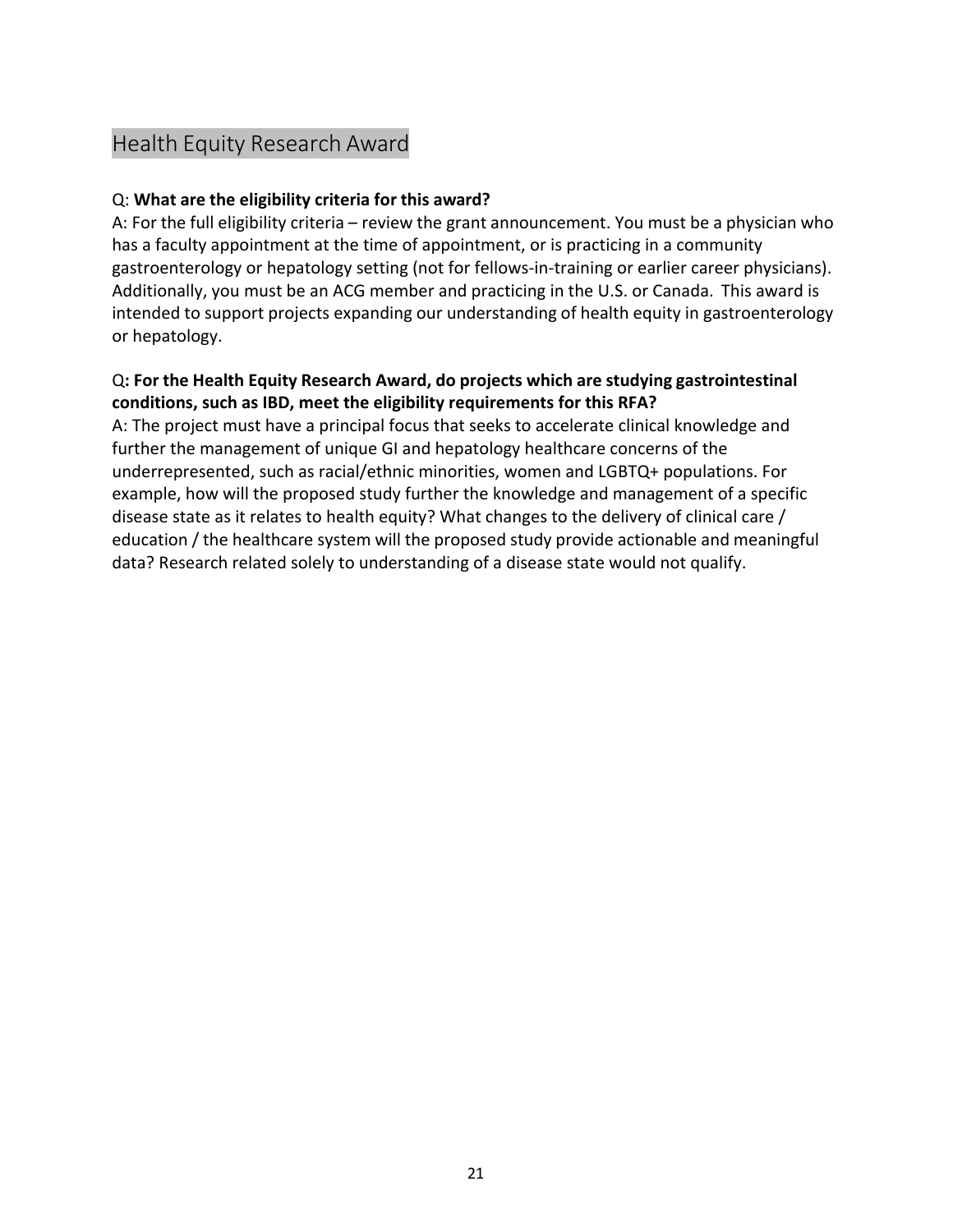# <span id="page-20-0"></span>Health Equity Research Award

#### Q: **What are the eligibility criteria for this award?**

A: For the full eligibility criteria – review the grant announcement. You must be a physician who has a faculty appointment at the time of appointment, or is practicing in a community gastroenterology or hepatology setting (not for fellows-in-training or earlier career physicians). Additionally, you must be an ACG member and practicing in the U.S. or Canada. This award is intended to support projects expanding our understanding of health equity in gastroenterology or hepatology.

#### Q**: For the Health Equity Research Award, do projects which are studying gastrointestinal conditions, such as IBD, meet the eligibility requirements for this RFA?**

A: The project must have a principal focus that seeks to accelerate clinical knowledge and further the management of unique GI and hepatology healthcare concerns of the underrepresented, such as racial/ethnic minorities, women and LGBTQ+ populations. For example, how will the proposed study further the knowledge and management of a specific disease state as it relates to health equity? What changes to the delivery of clinical care / education / the healthcare system will the proposed study provide actionable and meaningful data? Research related solely to understanding of a disease state would not qualify.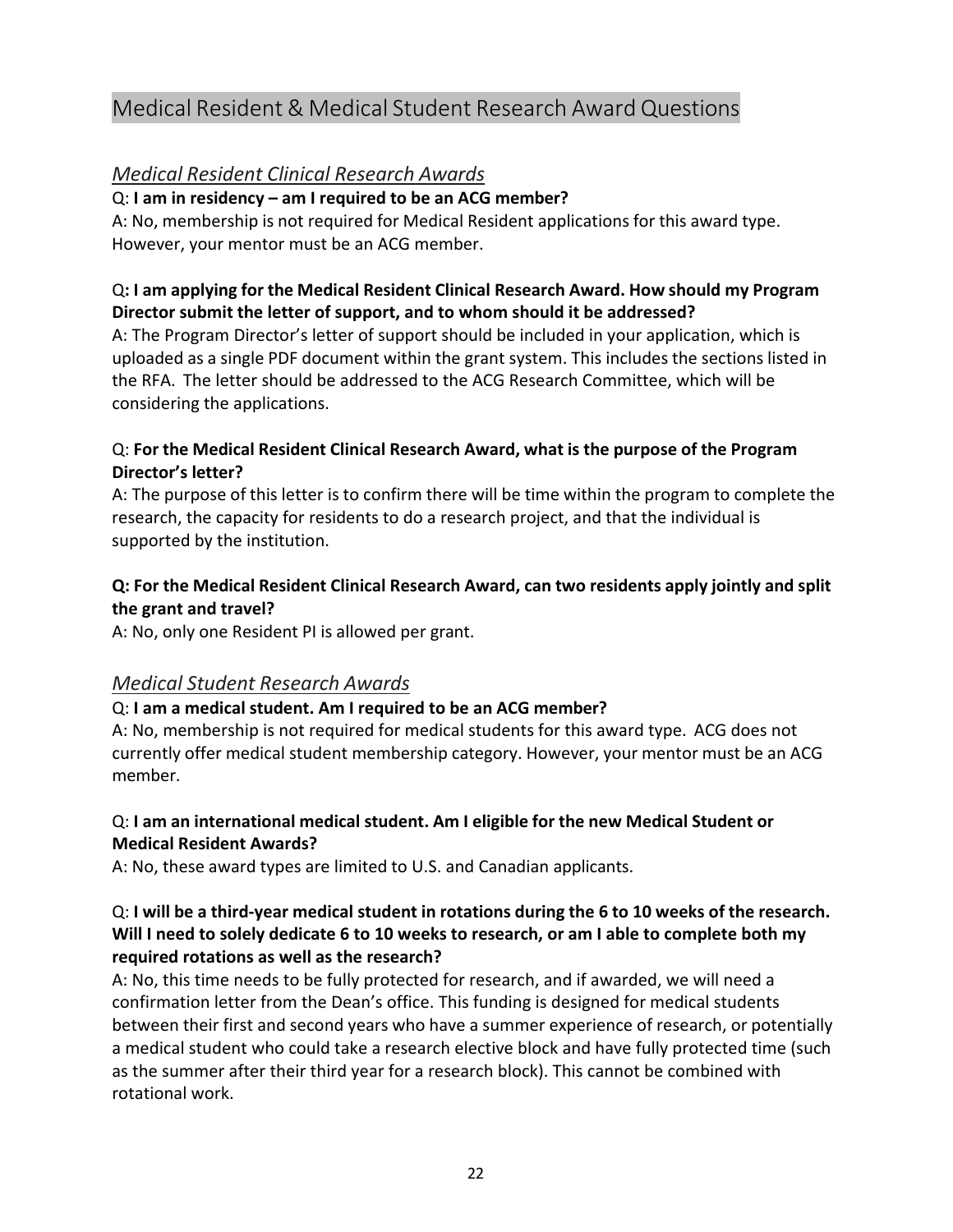# <span id="page-21-0"></span>Medical Resident & Medical Student Research Award Questions

### *Medical Resident Clinical Research Awards*

#### Q: **I am in residency – am I required to be an ACG member?**

A: No, membership is not required for Medical Resident applications for this award type. However, your mentor must be an ACG member.

#### Q**: I am applying for the Medical Resident Clinical Research Award. How should my Program Director submit the letter of support, and to whom should it be addressed?**

A: The Program Director's letter of support should be included in your application, which is uploaded as a single PDF document within the grant system. This includes the sections listed in the RFA. The letter should be addressed to the ACG Research Committee, which will be considering the applications.

#### Q: **For the Medical Resident Clinical Research Award, what is the purpose of the Program Director's letter?**

A: The purpose of this letter is to confirm there will be time within the program to complete the research, the capacity for residents to do a research project, and that the individual is supported by the institution.

### **Q: For the Medical Resident Clinical Research Award, can two residents apply jointly and split the grant and travel?**

A: No, only one Resident PI is allowed per grant.

#### *Medical Student Research Awards*

#### Q: **I am a medical student. Am I required to be an ACG member?**

A: No, membership is not required for medical students for this award type. ACG does not currently offer medical student membership category. However, your mentor must be an ACG member.

#### Q: **I am an international medical student. Am I eligible for the new Medical Student or Medical Resident Awards?**

A: No, these award types are limited to U.S. and Canadian applicants.

#### Q: **I will be a third-year medical student in rotations during the 6 to 10 weeks of the research. Will I need to solely dedicate 6 to 10 weeks to research, or am I able to complete both my required rotations as well as the research?**

A: No, this time needs to be fully protected for research, and if awarded, we will need a confirmation letter from the Dean's office. This funding is designed for medical students between their first and second years who have a summer experience of research, or potentially a medical student who could take a research elective block and have fully protected time (such as the summer after their third year for a research block). This cannot be combined with rotational work.